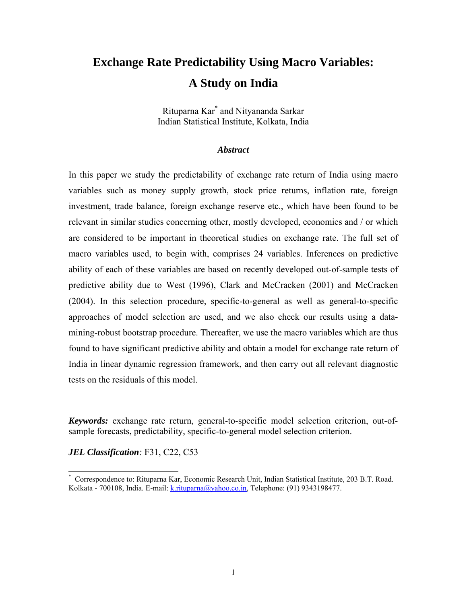# **Exchange Rate Predictability Using Macro Variables: A Study on India**

Rituparna Kar[\\*](#page-0-0) and Nityananda Sarkar Indian Statistical Institute, Kolkata, India

#### *Abstract*

In this paper we study the predictability of exchange rate return of India using macro variables such as money supply growth, stock price returns, inflation rate, foreign investment, trade balance, foreign exchange reserve etc., which have been found to be relevant in similar studies concerning other, mostly developed, economies and / or which are considered to be important in theoretical studies on exchange rate. The full set of macro variables used, to begin with, comprises 24 variables. Inferences on predictive ability of each of these variables are based on recently developed out-of-sample tests of predictive ability due to West (1996), Clark and McCracken (2001) and McCracken (2004). In this selection procedure, specific-to-general as well as general-to-specific approaches of model selection are used, and we also check our results using a datamining-robust bootstrap procedure. Thereafter, we use the macro variables which are thus found to have significant predictive ability and obtain a model for exchange rate return of India in linear dynamic regression framework, and then carry out all relevant diagnostic tests on the residuals of this model.

*Keywords:* exchange rate return, general-to-specific model selection criterion, out-ofsample forecasts, predictability, specific-to-general model selection criterion.

*JEL Classification:* F31, C22, C53

<span id="page-0-0"></span> <sup>\*</sup> Correspondence to: Rituparna Kar, Economic Research Unit, Indian Statistical Institute, 203 B.T. Road. Kolkata - 700108, India. E-mail: [k.rituparna@yahoo.co.in](mailto:tanya@isical.ac.in), Telephone: (91) 9343198477.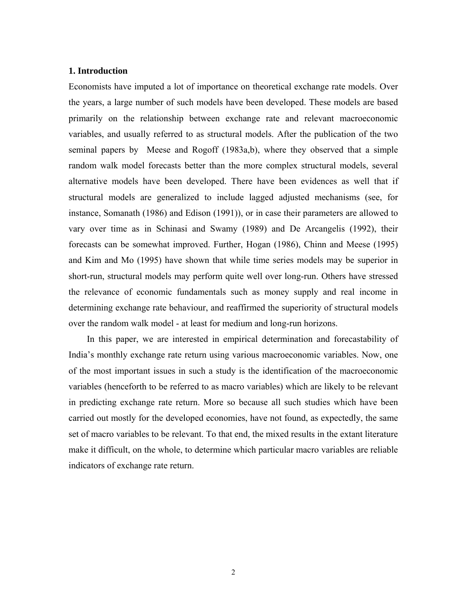#### **1. Introduction**

Economists have imputed a lot of importance on theoretical exchange rate models. Over the years, a large number of such models have been developed. These models are based primarily on the relationship between exchange rate and relevant macroeconomic variables, and usually referred to as structural models. After the publication of the two seminal papers by Meese and Rogoff (1983a,b), where they observed that a simple random walk model forecasts better than the more complex structural models, several alternative models have been developed. There have been evidences as well that if structural models are generalized to include lagged adjusted mechanisms (see, for instance, Somanath (1986) and Edison (1991)), or in case their parameters are allowed to vary over time as in Schinasi and Swamy (1989) and De Arcangelis (1992), their forecasts can be somewhat improved. Further, Hogan (1986), Chinn and Meese (1995) and Kim and Mo (1995) have shown that while time series models may be superior in short-run, structural models may perform quite well over long-run. Others have stressed the relevance of economic fundamentals such as money supply and real income in determining exchange rate behaviour, and reaffirmed the superiority of structural models over the random walk model - at least for medium and long-run horizons.

 In this paper, we are interested in empirical determination and forecastability of India's monthly exchange rate return using various macroeconomic variables. Now, one of the most important issues in such a study is the identification of the macroeconomic variables (henceforth to be referred to as macro variables) which are likely to be relevant in predicting exchange rate return. More so because all such studies which have been carried out mostly for the developed economies, have not found, as expectedly, the same set of macro variables to be relevant. To that end, the mixed results in the extant literature make it difficult, on the whole, to determine which particular macro variables are reliable indicators of exchange rate return.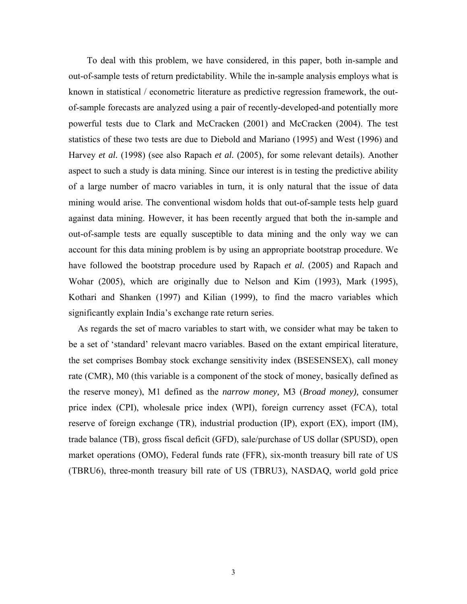To deal with this problem, we have considered, in this paper, both in-sample and out-of-sample tests of return predictability. While the in-sample analysis employs what is known in statistical / econometric literature as predictive regression framework, the outof-sample forecasts are analyzed using a pair of recently-developed-and potentially more powerful tests due to Clark and McCracken (2001) and McCracken (2004). The test statistics of these two tests are due to Diebold and Mariano (1995) and West (1996) and Harvey *et al.* (1998) (see also Rapach *et al.* (2005), for some relevant details). Another aspect to such a study is data mining. Since our interest is in testing the predictive ability of a large number of macro variables in turn, it is only natural that the issue of data mining would arise. The conventional wisdom holds that out-of-sample tests help guard against data mining. However, it has been recently argued that both the in-sample and out-of-sample tests are equally susceptible to data mining and the only way we can account for this data mining problem is by using an appropriate bootstrap procedure. We have followed the bootstrap procedure used by Rapach *et al.* (2005) and Rapach and Wohar (2005), which are originally due to Nelson and Kim (1993), Mark (1995), Kothari and Shanken (1997) and Kilian (1999), to find the macro variables which significantly explain India's exchange rate return series.

As regards the set of macro variables to start with, we consider what may be taken to be a set of 'standard' relevant macro variables. Based on the extant empirical literature, the set comprises Bombay stock exchange sensitivity index (BSESENSEX), call money rate (CMR), M0 (this variable is a component of the stock of money, basically defined as the reserve money), M1 defined as the *narrow money,* M3 (*Broad money),* consumer price index (CPI), wholesale price index (WPI), foreign currency asset (FCA), total reserve of foreign exchange (TR), industrial production (IP), export (EX), import (IM), trade balance (TB), gross fiscal deficit (GFD), sale/purchase of US dollar (SPUSD), open market operations (OMO), Federal funds rate (FFR), six-month treasury bill rate of US (TBRU6), three-month treasury bill rate of US (TBRU3), NASDAQ, world gold price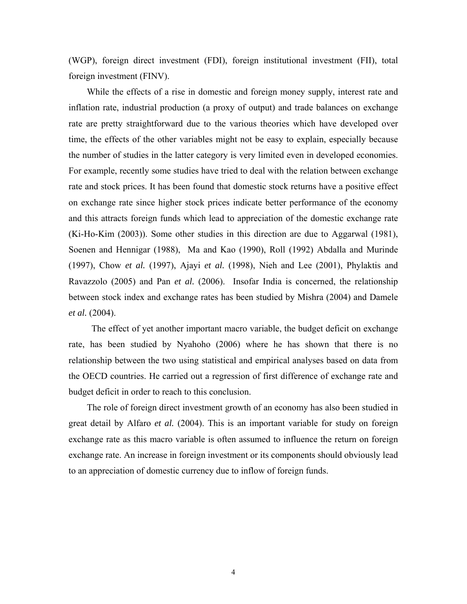(WGP), foreign direct investment (FDI), foreign institutional investment (FII), total foreign investment (FINV).

 While the effects of a rise in domestic and foreign money supply, interest rate and inflation rate, industrial production (a proxy of output) and trade balances on exchange rate are pretty straightforward due to the various theories which have developed over time, the effects of the other variables might not be easy to explain, especially because the number of studies in the latter category is very limited even in developed economies. For example, recently some studies have tried to deal with the relation between exchange rate and stock prices. It has been found that domestic stock returns have a positive effect on exchange rate since higher stock prices indicate better performance of the economy and this attracts foreign funds which lead to appreciation of the domestic exchange rate (Ki-Ho-Kim (2003)). Some other studies in this direction are due to Aggarwal (1981), Soenen and Hennigar (1988), Ma and Kao (1990), Roll (1992) Abdalla and Murinde (1997), Chow *et al.* (1997), Ajayi *et al.* (1998), Nieh and Lee (2001), Phylaktis and Ravazzolo (2005) and Pan *et al.* (2006). Insofar India is concerned, the relationship between stock index and exchange rates has been studied by Mishra (2004) and Damele *et al.* (2004).

 The effect of yet another important macro variable, the budget deficit on exchange rate, has been studied by Nyahoho (2006) where he has shown that there is no relationship between the two using statistical and empirical analyses based on data from the OECD countries. He carried out a regression of first difference of exchange rate and budget deficit in order to reach to this conclusion.

 The role of foreign direct investment growth of an economy has also been studied in great detail by Alfaro *et al.* (2004). This is an important variable for study on foreign exchange rate as this macro variable is often assumed to influence the return on foreign exchange rate. An increase in foreign investment or its components should obviously lead to an appreciation of domestic currency due to inflow of foreign funds.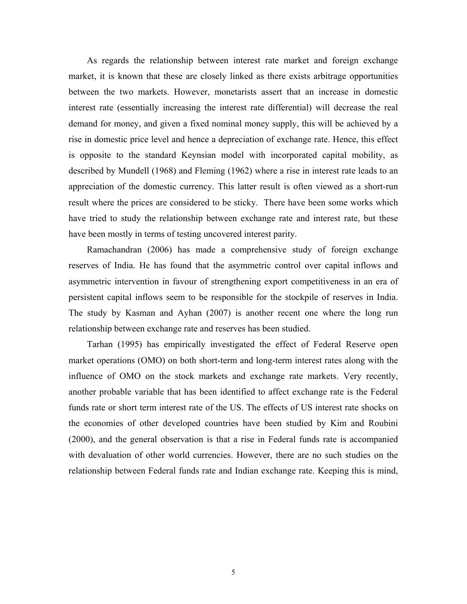As regards the relationship between interest rate market and foreign exchange market, it is known that these are closely linked as there exists arbitrage opportunities between the two markets. However, monetarists assert that an increase in domestic interest rate (essentially increasing the interest rate differential) will decrease the real demand for money, and given a fixed nominal money supply, this will be achieved by a rise in domestic price level and hence a depreciation of exchange rate. Hence, this effect is opposite to the standard Keynsian model with incorporated capital mobility, as described by Mundell (1968) and Fleming (1962) where a rise in interest rate leads to an appreciation of the domestic currency. This latter result is often viewed as a short-run result where the prices are considered to be sticky. There have been some works which have tried to study the relationship between exchange rate and interest rate, but these have been mostly in terms of testing uncovered interest parity.

Ramachandran (2006) has made a comprehensive study of foreign exchange reserves of India. He has found that the asymmetric control over capital inflows and asymmetric intervention in favour of strengthening export competitiveness in an era of persistent capital inflows seem to be responsible for the stockpile of reserves in India. The study by Kasman and Ayhan (2007) is another recent one where the long run relationship between exchange rate and reserves has been studied.

Tarhan (1995) has empirically investigated the effect of Federal Reserve open market operations (OMO) on both short-term and long-term interest rates along with the influence of OMO on the stock markets and exchange rate markets. Very recently, another probable variable that has been identified to affect exchange rate is the Federal funds rate or short term interest rate of the US. The effects of US interest rate shocks on the economies of other developed countries have been studied by Kim and Roubini (2000), and the general observation is that a rise in Federal funds rate is accompanied with devaluation of other world currencies. However, there are no such studies on the relationship between Federal funds rate and Indian exchange rate. Keeping this is mind,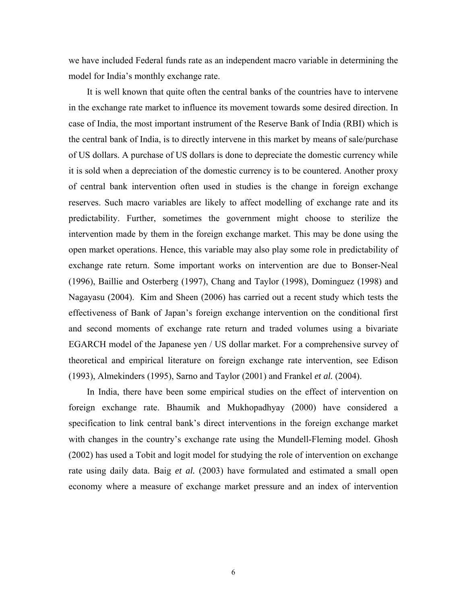we have included Federal funds rate as an independent macro variable in determining the model for India's monthly exchange rate.

 It is well known that quite often the central banks of the countries have to intervene in the exchange rate market to influence its movement towards some desired direction. In case of India, the most important instrument of the Reserve Bank of India (RBI) which is the central bank of India, is to directly intervene in this market by means of sale/purchase of US dollars. A purchase of US dollars is done to depreciate the domestic currency while it is sold when a depreciation of the domestic currency is to be countered. Another proxy of central bank intervention often used in studies is the change in foreign exchange reserves. Such macro variables are likely to affect modelling of exchange rate and its predictability. Further, sometimes the government might choose to sterilize the intervention made by them in the foreign exchange market. This may be done using the open market operations. Hence, this variable may also play some role in predictability of exchange rate return. Some important works on intervention are due to Bonser-Neal (1996), Baillie and Osterberg (1997), Chang and Taylor (1998), Dominguez (1998) and Nagayasu (2004). Kim and Sheen (2006) has carried out a recent study which tests the effectiveness of Bank of Japan's foreign exchange intervention on the conditional first and second moments of exchange rate return and traded volumes using a bivariate EGARCH model of the Japanese yen / US dollar market. For a comprehensive survey of theoretical and empirical literature on foreign exchange rate intervention, see Edison (1993), Almekinders (1995), Sarno and Taylor (2001) and Frankel *et al.* (2004).

 In India, there have been some empirical studies on the effect of intervention on foreign exchange rate. Bhaumik and Mukhopadhyay (2000) have considered a specification to link central bank's direct interventions in the foreign exchange market with changes in the country's exchange rate using the Mundell-Fleming model. Ghosh (2002) has used a Tobit and logit model for studying the role of intervention on exchange rate using daily data. Baig *et al.* (2003) have formulated and estimated a small open economy where a measure of exchange market pressure and an index of intervention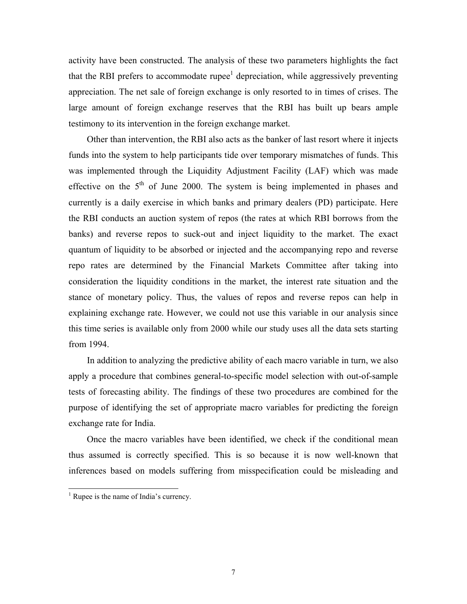activity have been constructed. The analysis of these two parameters highlights the fact that the RBI prefers to accommodate rupee<sup>[1](#page-6-0)</sup> depreciation, while aggressively preventing appreciation. The net sale of foreign exchange is only resorted to in times of crises. The large amount of foreign exchange reserves that the RBI has built up bears ample testimony to its intervention in the foreign exchange market.

 Other than intervention, the RBI also acts as the banker of last resort where it injects funds into the system to help participants tide over temporary mismatches of funds. This was implemented through the Liquidity Adjustment Facility (LAF) which was made effective on the  $5<sup>th</sup>$  of June 2000. The system is being implemented in phases and currently is a daily exercise in which banks and primary dealers (PD) participate. Here the RBI conducts an auction system of repos (the rates at which RBI borrows from the banks) and reverse repos to suck-out and inject liquidity to the market. The exact quantum of liquidity to be absorbed or injected and the accompanying repo and reverse repo rates are determined by the Financial Markets Committee after taking into consideration the liquidity conditions in the market, the interest rate situation and the stance of monetary policy. Thus, the values of repos and reverse repos can help in explaining exchange rate. However, we could not use this variable in our analysis since this time series is available only from 2000 while our study uses all the data sets starting from 1994.

 In addition to analyzing the predictive ability of each macro variable in turn, we also apply a procedure that combines general-to-specific model selection with out-of-sample tests of forecasting ability. The findings of these two procedures are combined for the purpose of identifying the set of appropriate macro variables for predicting the foreign exchange rate for India.

 Once the macro variables have been identified, we check if the conditional mean thus assumed is correctly specified. This is so because it is now well-known that inferences based on models suffering from misspecification could be misleading and

<span id="page-6-0"></span> $\frac{1}{1}$ <sup>1</sup> Rupee is the name of India's currency.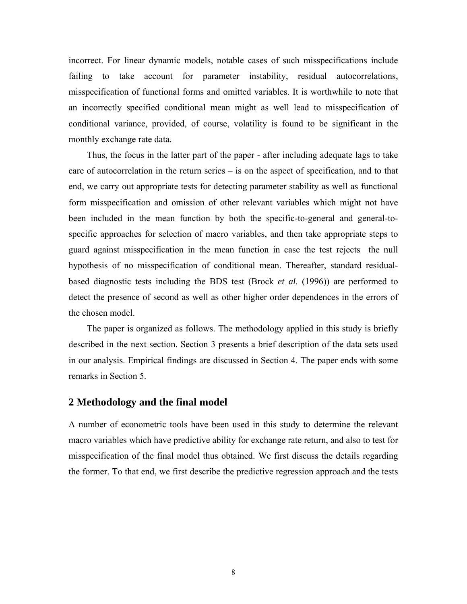incorrect. For linear dynamic models, notable cases of such misspecifications include failing to take account for parameter instability, residual autocorrelations, misspecification of functional forms and omitted variables. It is worthwhile to note that an incorrectly specified conditional mean might as well lead to misspecification of conditional variance, provided, of course, volatility is found to be significant in the monthly exchange rate data.

 Thus, the focus in the latter part of the paper - after including adequate lags to take care of autocorrelation in the return series – is on the aspect of specification, and to that end, we carry out appropriate tests for detecting parameter stability as well as functional form misspecification and omission of other relevant variables which might not have been included in the mean function by both the specific-to-general and general-tospecific approaches for selection of macro variables, and then take appropriate steps to guard against misspecification in the mean function in case the test rejects the null hypothesis of no misspecification of conditional mean. Thereafter, standard residualbased diagnostic tests including the BDS test (Brock *et al.* (1996)) are performed to detect the presence of second as well as other higher order dependences in the errors of the chosen model.

 The paper is organized as follows. The methodology applied in this study is briefly described in the next section. Section 3 presents a brief description of the data sets used in our analysis. Empirical findings are discussed in Section 4. The paper ends with some remarks in Section 5.

#### **2 Methodology and the final model**

A number of econometric tools have been used in this study to determine the relevant macro variables which have predictive ability for exchange rate return, and also to test for misspecification of the final model thus obtained. We first discuss the details regarding the former. To that end, we first describe the predictive regression approach and the tests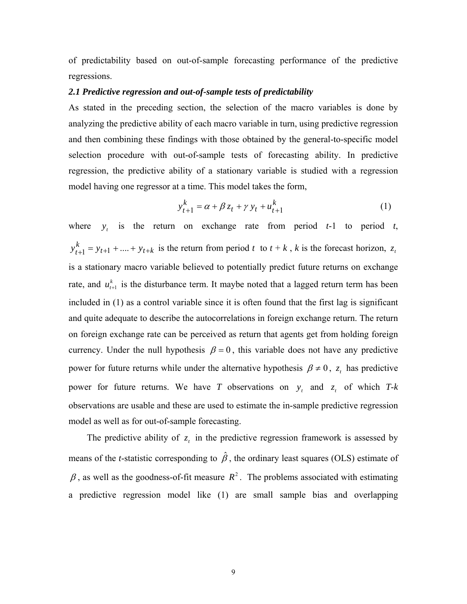of predictability based on out-of-sample forecasting performance of the predictive regressions.

#### *2.1 Predictive regression and out-of-sample tests of predictability*

As stated in the preceding section, the selection of the macro variables is done by analyzing the predictive ability of each macro variable in turn, using predictive regression and then combining these findings with those obtained by the general-to-specific model selection procedure with out-of-sample tests of forecasting ability. In predictive regression, the predictive ability of a stationary variable is studied with a regression model having one regressor at a time. This model takes the form,

$$
y_{t+1}^k = \alpha + \beta z_t + \gamma y_t + u_{t+1}^k
$$
 (1)

where  $y_t$  is the return on exchange rate from period  $t-1$  to period  $t$ ,  $t_{t+1}$  + ... +  $y_{t+k}$  is the return from period *t* to  $t + k$ , *k* is the forecast horizon, is a stationary macro variable believed to potentially predict future returns on exchange rate, and  $u_{t+1}^k$  is the disturbance term. It maybe noted that a lagged return term has been included in (1) as a control variable since it is often found that the first lag is significant and quite adequate to describe the autocorrelations in foreign exchange return. The return on foreign exchange rate can be perceived as return that agents get from holding foreign currency. Under the null hypothesis  $\beta = 0$ , this variable does not have any predictive  $y_{t+1}^k = y_{t+1} + ... + y_{t+k}$  is the return from period t to  $t + k$ , k is the forecast horizon,  $z_t$ power for future returns while under the alternative hypothesis  $\beta \neq 0$ ,  $z_t$  has predictive power for future returns. We have *T* observations on  $y_t$  and  $z_t$  of which *T*-*k* observations are usable and these are used to estimate the in-sample predictive regression model as well as for out-of-sample forecasting.

The predictive ability of  $z_t$  in the predictive regression framework is assessed by means of the *t*-statistic corresponding to  $\hat{\beta}$ , the ordinary least squares (OLS) estimate of  $\beta$ , as well as the goodness-of-fit measure  $R^2$ . The problems associated with estimating a predictive regression model like (1) are small sample bias and overlapping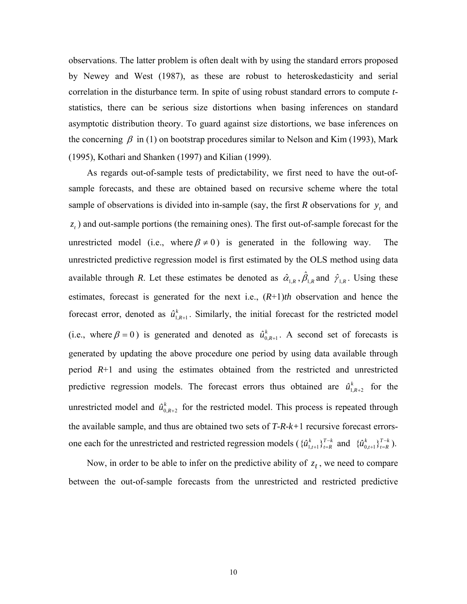observations. The latter problem is often dealt with by using the standard errors proposed by Newey and West (1987), as these are robust to heteroskedasticity and serial correlation in the disturbance term. In spite of using robust standard errors to compute *t*statistics, there can be serious size distortions when basing inferences on standard asymptotic distribution theory. To guard against size distortions, we base inferences on the concerning  $\beta$  in (1) on bootstrap procedures similar to Nelson and Kim (1993), Mark (1995), Kothari and Shanken (1997) and Kilian (1999).

 As regards out-of-sample tests of predictability, we first need to have the out-ofsample forecasts, and these are obtained based on recursive scheme where the total sample of observations is divided into in-sample (say, the first *R* observations for  $y_t$  and  $z_t$ ) and out-sample portions (the remaining ones). The first out-of-sample forecast for the unrestricted model (i.e., where  $\beta \neq 0$ ) is generated in the following way. The unrestricted predictive regression model is first estimated by the OLS method using data available through *R*. Let these estimates be denoted as  $\hat{\alpha}_{1,R}$ ,  $\hat{\beta}_{1,R}$  and  $\hat{\gamma}_{1,R}$ . Using these estimates, forecast is generated for the next i.e., (*R*+1)*th* observation and hence the forecast error, denoted as  $\hat{u}_{1,R+1}^k$ . Similarly, the initial forecast for the restricted model (i.e., where  $\beta = 0$ ) is generated and denoted as  $\hat{u}_{0,R+1}^k$ . A second set of forecasts is generated by updating the above procedure one period by using data available through period *R*+1 and using the estimates obtained from the restricted and unrestricted predictive regression models. The forecast errors thus obtained are  $\hat{u}_{1,R+2}^k$  for the unrestricted model and  $\hat{u}_{0,R+2}^{k}$  for the restricted model. This process is repeated through the available sample, and thus are obtained two sets of *T-R-k+*1 recursive forecast errorsone each for the unrestricted and restricted regression models ( $\{\hat{u}_{1:t}^k\}_{t=R}^{T-k}$  and  $\{\hat{u}_{0:t}^k\}_{t=R}^{T-k}$ ). *t R*  $\{\hat{u}_{1,t+1}^k\}_{t=R}^{T-k}$  and  $\{\hat{u}_{0,t+1}^k\}_{t=R}^{T-k}$ *t R*  $\{\hat{\mu}_{0,t+1}^k\}_{t=1}^{T-}$ 

Now, in order to be able to infer on the predictive ability of  $z_t$ , we need to compare between the out-of-sample forecasts from the unrestricted and restricted predictive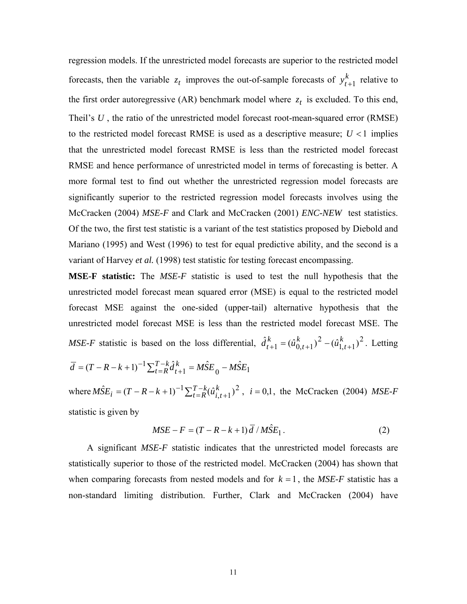regression models. If the unrestricted model forecasts are superior to the restricted model forecasts, then the variable  $z_t$  improves the out-of-sample forecasts of  $y_{t+1}^k$  relative to the first order autoregressive (AR) benchmark model where  $z_t$  is excluded. To this end, Theil's U, the ratio of the unrestricted model forecast root-mean-squared error (RMSE) to the restricted model forecast RMSE is used as a descriptive measure;  $U < 1$  implies that the unrestricted model forecast RMSE is less than the restricted model forecast RMSE and hence performance of unrestricted model in terms of forecasting is better. A more formal test to find out whether the unrestricted regression model forecasts are significantly superior to the restricted regression model forecasts involves using the McCracken (2004) *MSE-F* and Clark and McCracken (2001) *ENC-NEW* test statistics. Of the two, the first test statistic is a variant of the test statistics proposed by Diebold and Mariano (1995) and West (1996) to test for equal predictive ability, and the second is a variant of Harvey *et al.* (1998) test statistic for testing forecast encompassing.

**MSE-F statistic:** The *MSE-F* statistic is used to test the null hypothesis that the unrestricted model forecast mean squared error (MSE) is equal to the restricted model forecast MSE against the one-sided (upper-tail) alternative hypothesis that the unrestricted model forecast MSE is less than the restricted model forecast MSE. The *MSE-F* statistic is based on the loss differential,  $\hat{d}_{t+1}^k = (\hat{u}_{0,t+1}^k)^2 - (\hat{u}_{1,t+1}^k)^2$ . Letting  $\hat{d}_{t+1}^k = (\hat{u}_{0,t+1}^k)^2 - (\hat{u}_{1,t+1}^k)$ *k t*  $\hat{d}_{t+1}^k = (\hat{u}_{0,t+1}^k)^2 - (\hat{u}_{1,t+1}^k)$  $\overline{d} = (T - R - k + 1)^{-1} \sum_{t=R}^{T-k} \hat{d}_{t+1}^{k} = M \hat{S} E_0 - M \hat{S} E_1$  $=(T - R - k + 1)^{-1} \sum_{t=R}^{T-k} \hat{d}_{t+1}^{k} = M \hat{S} E_{0}$ 

where  $M\hat{S}E_i = (T - R - k + 1)^{-1} \sum_{t=R}^{T-k} (\hat{u}_{i,t+1}^k)^2$ ,  $MSE_i = (T - R - k + 1)^{-1} \sum_{t=R}^{T-k} (\hat{u}_{i,t+1}^k)^2$ ,  $i = 0,1$ , the McCracken (2004) *MSE-F* statistic is given by

$$
MSE - F = (T - R - k + 1)\overline{d} / M\hat{S}E_1.
$$
 (2)

 A significant *MSE-F* statistic indicates that the unrestricted model forecasts are statistically superior to those of the restricted model. McCracken (2004) has shown that when comparing forecasts from nested models and for  $k = 1$ , the *MSE-F* statistic has a non-standard limiting distribution. Further, Clark and McCracken (2004) have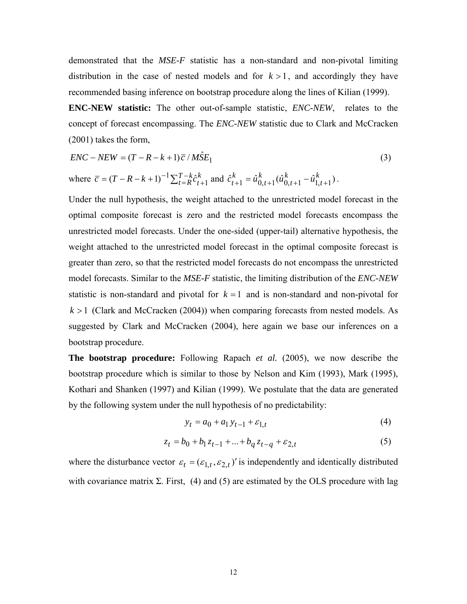demonstrated that the *MSE-F* statistic has a non-standard and non-pivotal limiting distribution in the case of nested models and for  $k > 1$ , and accordingly they have recommended basing inference on bootstrap procedure along the lines of Kilian (1999).

**ENC-NEW statistic:** The other out-of-sample statistic, *ENC-NEW*, relates to the concept of forecast encompassing. The *ENC-NEW* statistic due to Clark and McCracken (2001) takes the form,

$$
ENC - NEW = (T - R - k + 1)\overline{c}/M\hat{S}E_1
$$
\n(3)

where 
$$
\overline{c} = (T - R - k + 1)^{-1} \sum_{t=R}^{T-k} \hat{c}_{t+1}^k
$$
 and  $\hat{c}_{t+1}^k = \hat{u}_{0,t+1}^k (\hat{u}_{0,t+1}^k - \hat{u}_{1,t+1}^k)$ .

Under the null hypothesis, the weight attached to the unrestricted model forecast in the optimal composite forecast is zero and the restricted model forecasts encompass the unrestricted model forecasts. Under the one-sided (upper-tail) alternative hypothesis, the weight attached to the unrestricted model forecast in the optimal composite forecast is greater than zero, so that the restricted model forecasts do not encompass the unrestricted model forecasts. Similar to the *MSE-F* statistic, the limiting distribution of the *ENC-NEW* statistic is non-standard and pivotal for  $k = 1$  and is non-standard and non-pivotal for  $k > 1$  (Clark and McCracken (2004)) when comparing forecasts from nested models. As suggested by Clark and McCracken (2004), here again we base our inferences on a bootstrap procedure.

**The bootstrap procedure:** Following Rapach *et al.* (2005), we now describe the bootstrap procedure which is similar to those by Nelson and Kim (1993), Mark (1995), Kothari and Shanken (1997) and Kilian (1999). We postulate that the data are generated by the following system under the null hypothesis of no predictability:

$$
y_t = a_0 + a_1 y_{t-1} + \varepsilon_{1,t}
$$
 (4)

$$
z_t = b_0 + b_1 z_{t-1} + \dots + b_q z_{t-q} + \varepsilon_{2,t} \tag{5}
$$

where the disturbance vector  $\varepsilon_t = (\varepsilon_{1,t}, \varepsilon_{2,t})'$  is independently and identically distributed with covariance matrix  $\Sigma$ . First, (4) and (5) are estimated by the OLS procedure with lag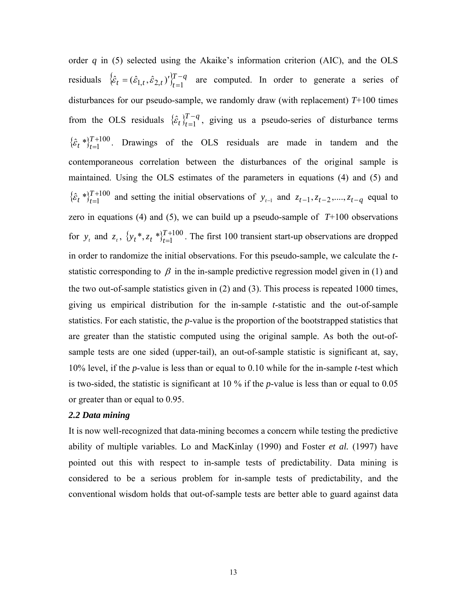order  $q$  in (5) selected using the Akaike's information criterion (AIC), and the OLS residuals  $\{\hat{\varepsilon}_t = (\hat{\varepsilon}_{1,t}, \hat{\varepsilon}_{2,t})'\}_{t=1}^{T-q}$  are computed. In order to generate a series of disturbances for our pseudo-sample, we randomly draw (with replacement) *T*+100 times from the OLS residuals  $\{\hat{\epsilon}_t\}_{t=1}^{T-q}$ , giving us a pseudo-series of disturbance terms  $\{\hat{\varepsilon}_t^*\}_{t=1}^{T+100}$ . Drawings of the OLS residuals are made in tandem and the contemporaneous correlation between the disturbances of the original sample is maintained. Using the OLS estimates of the parameters in equations (4) and (5) and  $\{\hat{\epsilon}_t^*\}_{t=1}^{T+100}$  and setting the initial observations of  $y_{t-1}$  and  $z_{t-1}, z_{t-2},..., z_{t-q}$  equal to zero in equations (4) and (5), we can build up a pseudo-sample of  $T+100$  observations for  $y_t$  and  $z_t$ ,  $\{y_t^*, z_t^*, z_t^*\}_{t=1}^{T+100}$ . The first 100 transient start-up observations are dropped in order to randomize the initial observations. For this pseudo-sample, we calculate the *t*statistic corresponding to  $\beta$  in the in-sample predictive regression model given in (1) and  $\hat{\varepsilon}_t$  \* $\}_{t}^{T}$  $\hat{\epsilon}_t$  \*  $Y_{t=1}^{T+100}$  and setting the initial observations of  $y_{t-1}$  and  $z_{t-1}, z_{t-2},..., z_{t-q}$  $y_t^*$ ,  $z_t^*$   $\big\}^T_{t}$ the two out-of-sample statistics given in (2) and (3). This process is repeated 1000 times, giving us empirical distribution for the in-sample *t*-statistic and the out-of-sample statistics. For each statistic, the *p*-value is the proportion of the bootstrapped statistics that are greater than the statistic computed using the original sample. As both the out-ofsample tests are one sided (upper-tail), an out-of-sample statistic is significant at, say, 10% level, if the *p*-value is less than or equal to 0.10 while for the in-sample *t*-test which is two-sided, the statistic is significant at 10 % if the *p*-value is less than or equal to 0.05 or greater than or equal to 0.95.

#### *2.2 Data mining*

It is now well-recognized that data-mining becomes a concern while testing the predictive ability of multiple variables. Lo and MacKinlay (1990) and Foster *et al.* (1997) have pointed out this with respect to in-sample tests of predictability. Data mining is considered to be a serious problem for in-sample tests of predictability, and the conventional wisdom holds that out-of-sample tests are better able to guard against data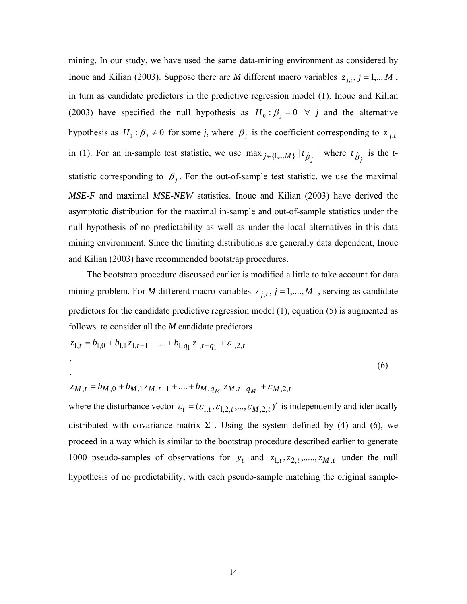mining. In our study, we have used the same data-mining environment as considered by Inoue and Kilian (2003). Suppose there are *M* different macro variables  $z_{j,t}$ ,  $j = 1,...M$ , in turn as candidate predictors in the predictive regression model (1). Inoue and Kilian (2003) have specified the null hypothesis as  $H_0: \beta_j = 0 \ \forall j$  and the alternative hypothesis as  $H_1: \beta_j \neq 0$  for some *j*, where  $\beta_j$  is the coefficient corresponding to  $z_{j,t}$ in (1). For an in-sample test statistic, we use  $\max_{j \in \{1,...M\}} |t_{\hat{\beta}_j}|$  where  $t_{\hat{\beta}_j}$  is the *t*statistic corresponding to  $\beta_j$ . For the out-of-sample test statistic, we use the maximal *MSE-F* and maximal *MSE-NEW* statistics. Inoue and Kilian (2003) have derived the asymptotic distribution for the maximal in-sample and out-of-sample statistics under the null hypothesis of no predictability as well as under the local alternatives in this data mining environment. Since the limiting distributions are generally data dependent, Inoue and Kilian (2003) have recommended bootstrap procedures.

 The bootstrap procedure discussed earlier is modified a little to take account for data mining problem. For *M* different macro variables  $z_{j,t}$ ,  $j = 1,...,M$ , serving as candidate predictors for the candidate predictive regression model (1), equation (5) is augmented as follows to consider all the *M* candidate predictors

$$
z_{1,t} = b_{1,0} + b_{1,1} z_{1,t-1} + \dots + b_{1,q_1} z_{1,t-q_1} + \varepsilon_{1,2,t}
$$
  
. (6)

$$
z_{M,t} = b_{M,0} + b_{M,1} z_{M,t-1} + \dots + b_{M,q_M} z_{M,t-q_M} + \varepsilon_{M,2,t}
$$

where the disturbance vector  $\varepsilon_t = (\varepsilon_{1,t}, \varepsilon_{1,2,t}, ..., \varepsilon_{M,2,t})'$  is independently and identically distributed with covariance matrix  $\Sigma$ . Using the system defined by (4) and (6), we proceed in a way which is similar to the bootstrap procedure described earlier to generate 1000 pseudo-samples of observations for  $y_t$  and  $z_{1,t}, z_{2,t}, \ldots, z_{M,t}$  under the null hypothesis of no predictability, with each pseudo-sample matching the original sample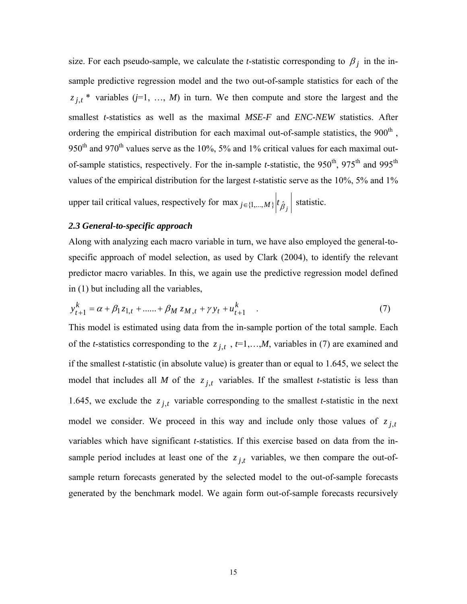size. For each pseudo-sample, we calculate the *t*-statistic corresponding to  $\beta_i$  in the insample predictive regression model and the two out-of-sample statistics for each of the  $z_{j,t}$  \* variables (*j*=1, ..., *M*) in turn. We then compute and store the largest and the smallest *t*-statistics as well as the maximal *MSE-F* and *ENC-NEW* statistics. After ordering the empirical distribution for each maximal out-of-sample statistics, the  $900<sup>th</sup>$ , 950<sup>th</sup> and 970<sup>th</sup> values serve as the 10%, 5% and 1% critical values for each maximal outof-sample statistics, respectively. For the in-sample *t*-statistic, the 950<sup>th</sup>, 975<sup>th</sup> and 995<sup>th</sup> values of the empirical distribution for the largest *t*-statistic serve as the 10%, 5% and 1%

upper tail critical values, respectively for *max*  $_{j \in \{1,...,M\}} | t_{\hat{\beta}_j} |$  statistic.

#### *2.3 General-to-specific approach*

Along with analyzing each macro variable in turn, we have also employed the general-tospecific approach of model selection, as used by Clark (2004), to identify the relevant predictor macro variables. In this, we again use the predictive regression model defined in (1) but including all the variables,

$$
y_{t+1}^k = \alpha + \beta_1 z_{1,t} + \dots + \beta_M z_{M,t} + \gamma y_t + u_{t+1}^k
$$
 (7)

This model is estimated using data from the in-sample portion of the total sample. Each of the *t*-statistics corresponding to the  $z_{j,t}$ ,  $t=1,...,M$ , variables in (7) are examined and if the smallest *t*-statistic (in absolute value) is greater than or equal to 1.645, we select the model that includes all *M* of the  $z_{j,t}$  variables. If the smallest *t*-statistic is less than 1.645, we exclude the  $z_{j,t}$  variable corresponding to the smallest *t*-statistic in the next model we consider. We proceed in this way and include only those values of  $z_{j,t}$ variables which have significant *t*-statistics. If this exercise based on data from the insample period includes at least one of the  $z_{j,t}$  variables, we then compare the out-ofsample return forecasts generated by the selected model to the out-of-sample forecasts generated by the benchmark model. We again form out-of-sample forecasts recursively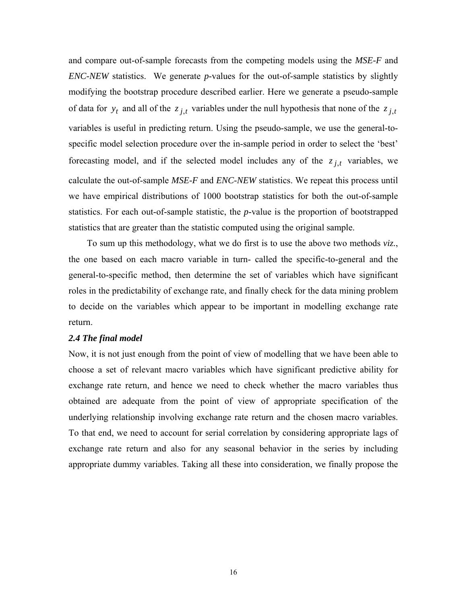and compare out-of-sample forecasts from the competing models using the *MSE-F* and *ENC-NEW* statistics. We generate *p*-values for the out-of-sample statistics by slightly modifying the bootstrap procedure described earlier. Here we generate a pseudo-sample of data for  $y_t$  and all of the  $z_{j,t}$  variables under the null hypothesis that none of the  $z_{j,t}$ variables is useful in predicting return. Using the pseudo-sample, we use the general-tospecific model selection procedure over the in-sample period in order to select the 'best' forecasting model, and if the selected model includes any of the  $z_{j,t}$  variables, we calculate the out-of-sample *MSE-F* and *ENC-NEW* statistics. We repeat this process until we have empirical distributions of 1000 bootstrap statistics for both the out-of-sample statistics. For each out-of-sample statistic, the *p*-value is the proportion of bootstrapped statistics that are greater than the statistic computed using the original sample.

To sum up this methodology, what we do first is to use the above two methods *viz.*, the one based on each macro variable in turn- called the specific-to-general and the general-to-specific method, then determine the set of variables which have significant roles in the predictability of exchange rate, and finally check for the data mining problem to decide on the variables which appear to be important in modelling exchange rate return.

#### *2.4 The final model*

Now, it is not just enough from the point of view of modelling that we have been able to choose a set of relevant macro variables which have significant predictive ability for exchange rate return, and hence we need to check whether the macro variables thus obtained are adequate from the point of view of appropriate specification of the underlying relationship involving exchange rate return and the chosen macro variables. To that end, we need to account for serial correlation by considering appropriate lags of exchange rate return and also for any seasonal behavior in the series by including appropriate dummy variables. Taking all these into consideration, we finally propose the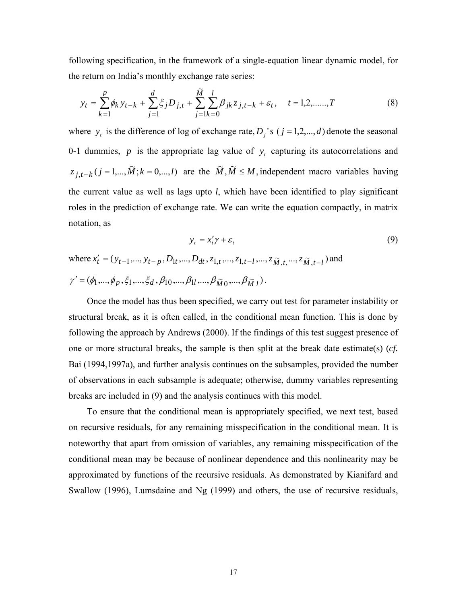following specification, in the framework of a single-equation linear dynamic model, for the return on India's monthly exchange rate series:

$$
y_t = \sum_{k=1}^p \phi_k y_{t-k} + \sum_{j=1}^d \xi_j D_{j,t} + \sum_{j=1}^{\widetilde{M}} \sum_{k=0}^l \beta_{jk} z_{j,t-k} + \varepsilon_t, \quad t = 1, 2, \dots, T
$$
 (8)

where  $y_t$  is the difference of log of exchange rate,  $D_j$ 's  $(j = 1, 2, ..., d)$  denote the seasonal 0-1 dummies,  $p$  is the appropriate lag value of  $y_t$  capturing its autocorrelations and  $z_{j,t-k}$   $(j = 1,..., \tilde{M}; k = 0,...,l)$  are the  $\tilde{M}, \tilde{M} \leq M$ , independent macro variables having the current value as well as lags upto *l*, which have been identified to play significant roles in the prediction of exchange rate. We can write the equation compactly, in matrix notation, as

$$
y_t = x_t' \gamma + \varepsilon_t \tag{9}
$$

where 
$$
x'_t = (y_{t-1},..., y_{t-p}, D_{1t},..., D_{dt}, z_{1,t},..., z_{1,t-l},..., z_{\tilde{M},t},..., z_{\tilde{M},t-l})
$$
 and  
\n
$$
\gamma' = (\phi_1,...,\phi_p,\xi_1,...,\xi_d,\beta_{10},...,\beta_{1l},..., \beta_{\tilde{M}0},..., \beta_{\tilde{M}l}).
$$

 Once the model has thus been specified, we carry out test for parameter instability or structural break, as it is often called, in the conditional mean function. This is done by following the approach by Andrews (2000). If the findings of this test suggest presence of one or more structural breaks, the sample is then split at the break date estimate(s) (*cf.* Bai (1994,1997a), and further analysis continues on the subsamples, provided the number of observations in each subsample is adequate; otherwise, dummy variables representing breaks are included in (9) and the analysis continues with this model.

 To ensure that the conditional mean is appropriately specified, we next test, based on recursive residuals, for any remaining misspecification in the conditional mean. It is noteworthy that apart from omission of variables, any remaining misspecification of the conditional mean may be because of nonlinear dependence and this nonlinearity may be approximated by functions of the recursive residuals. As demonstrated by Kianifard and Swallow (1996), Lumsdaine and Ng (1999) and others, the use of recursive residuals,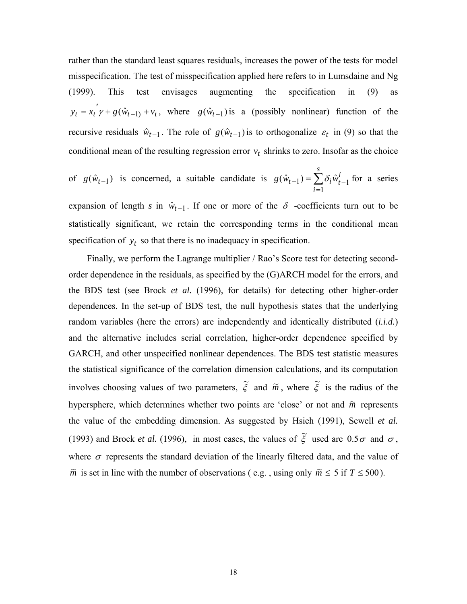rather than the standard least squares residuals, increases the power of the tests for model misspecification. The test of misspecification applied here refers to in Lumsdaine and Ng (1999). This test envisages augmenting the specification in (9) as  $y_t = x_t^{\prime} y + g(\hat{w}_{t-1} + v_t)$ , where  $g(\hat{w}_{t-1})$  is a (possibly nonlinear) function of the recursive residuals  $\hat{w}_{t-1}$ . The role of  $g(\hat{w}_{t-1})$  is to orthogonalize  $\varepsilon_t$  in (9) so that the conditional mean of the resulting regression error  $v_t$  shrinks to zero. Insofar as the choice

of 
$$
g(\hat{w}_{t-1})
$$
 is concerned, a suitable candidate is  $g(\hat{w}_{t-1}) = \sum_{i=1}^{s} \delta_i \hat{w}_{t-1}^i$  for a series

expansion of length *s* in  $\hat{w}_{t-1}$ . If one or more of the  $\delta$  -coefficients turn out to be statistically significant, we retain the corresponding terms in the conditional mean specification of  $y_t$  so that there is no inadequacy in specification.

Finally, we perform the Lagrange multiplier / Rao's Score test for detecting secondorder dependence in the residuals, as specified by the (G)ARCH model for the errors, and the BDS test (see Brock *et al.* (1996), for details) for detecting other higher-order dependences. In the set-up of BDS test, the null hypothesis states that the underlying random variables (here the errors) are independently and identically distributed (*i.i.d.*) and the alternative includes serial correlation, higher-order dependence specified by GARCH, and other unspecified nonlinear dependences. The BDS test statistic measures the statistical significance of the correlation dimension calculations, and its computation involves choosing values of two parameters,  $\tilde{\xi}$  and  $\tilde{m}$ , where  $\tilde{\xi}$  is the radius of the hypersphere, which determines whether two points are 'close' or not and  $\tilde{m}$  represents the value of the embedding dimension. As suggested by Hsieh (1991), Sewell *et al.* (1993) and Brock *et al.* (1996), in most cases, the values of  $\tilde{\xi}$  used are 0.5 $\sigma$  and  $\sigma$ , where  $\sigma$  represents the standard deviation of the linearly filtered data, and the value of  $\tilde{m}$  is set in line with the number of observations (e.g., using only  $\tilde{m} \le 5$  if  $T \le 500$ ).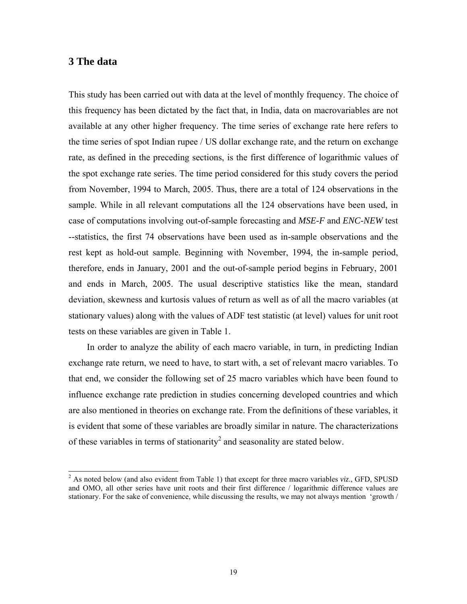### <span id="page-18-0"></span>**3 The data**

This study has been carried out with data at the level of monthly frequency. The choice of this frequency has been dictated by the fact that, in India, data on macrovariables are not available at any other higher frequency. The time series of exchange rate here refers to the time series of spot Indian rupee / US dollar exchange rate, and the return on exchange rate, as defined in the preceding sections, is the first difference of logarithmic values of the spot exchange rate series. The time period considered for this study covers the period from November, 1994 to March, 2005. Thus, there are a total of 124 observations in the sample. While in all relevant computations all the 124 observations have been used, in case of computations involving out-of-sample forecasting and *MSE-F* and *ENC-NEW* test --statistics, the first 74 observations have been used as in-sample observations and the rest kept as hold-out sample. Beginning with November, 1994, the in-sample period, therefore, ends in January, 2001 and the out-of-sample period begins in February, 2001 and ends in March, 2005. The usual descriptive statistics like the mean, standard deviation, skewness and kurtosis values of return as well as of all the macro variables (at stationary values) along with the values of ADF test statistic (at level) values for unit root tests on these variables are given in Table 1.

 In order to analyze the ability of each macro variable, in turn, in predicting Indian exchange rate return, we need to have, to start with, a set of relevant macro variables. To that end, we consider the following set of 25 macro variables which have been found to influence exchange rate prediction in studies concerning developed countries and which are also mentioned in theories on exchange rate. From the definitions of these variables, it is evident that some of these variables are broadly similar in nature. The characterizations of these variables in terms of stationarity<sup>[2](#page-18-0)</sup> and seasonality are stated below.

<sup>&</sup>lt;sup>2</sup> <sup>2</sup> As noted below (and also evident from Table 1) that except for three macro variables *viz*., GFD, SPUSD and OMO, all other series have unit roots and their first difference / logarithmic difference values are stationary. For the sake of convenience, while discussing the results, we may not always mention 'growth /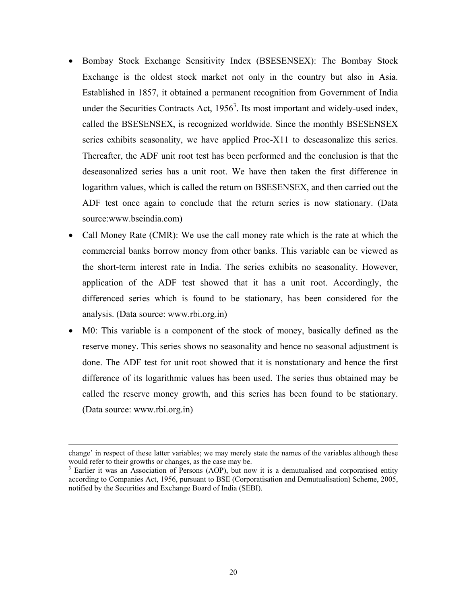- Bombay Stock Exchange Sensitivity Index (BSESENSEX): The Bombay Stock Exchange is the oldest stock market not only in the country but also in Asia. Established in 1857, it obtained a permanent recognition from Government of India under the Securities Contracts Act,  $1956<sup>3</sup>$ . Its most important and widely-used index, called the BSESENSEX, is recognized worldwide. Since the monthly BSESENSEX series exhibits seasonality, we have applied Proc-X11 to deseasonalize this series. Thereafter, the ADF unit root test has been performed and the conclusion is that the deseasonalized series has a unit root. We have then taken the first difference in logarithm values, which is called the return on BSESENSEX, and then carried out the ADF test once again to conclude that the return series is now stationary. (Data source:www.bseindia.com)
- Call Money Rate (CMR): We use the call money rate which is the rate at which the commercial banks borrow money from other banks. This variable can be viewed as the short-term interest rate in India. The series exhibits no seasonality. However, application of the ADF test showed that it has a unit root. Accordingly, the differenced series which is found to be stationary, has been considered for the analysis. (Data source: www.rbi.org.in)
- M0: This variable is a component of the stock of money, basically defined as the reserve money. This series shows no seasonality and hence no seasonal adjustment is done. The ADF test for unit root showed that it is nonstationary and hence the first difference of its logarithmic values has been used. The series thus obtained may be called the reserve money growth, and this series has been found to be stationary. (Data source: www.rbi.org.in)

l

change' in respect of these latter variables; we may merely state the names of the variables although these would refer to their growths or changes, as the case may be.<br><sup>3</sup> Earlier it was an Association of Persons (AOP), but now it is a demutualised and corporatised entity

<span id="page-19-0"></span>according to Companies Act, 1956, pursuant to BSE (Corporatisation and Demutualisation) Scheme, 2005, notified by the Securities and Exchange Board of India (SEBI).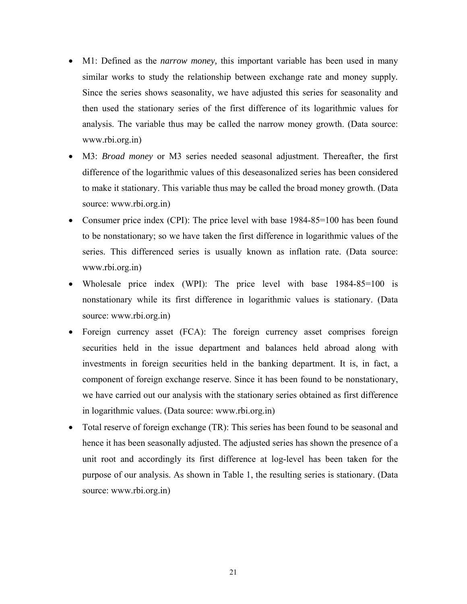- M1: Defined as the *narrow money*, this important variable has been used in many similar works to study the relationship between exchange rate and money supply*.* Since the series shows seasonality, we have adjusted this series for seasonality and then used the stationary series of the first difference of its logarithmic values for analysis. The variable thus may be called the narrow money growth. (Data source: www.rbi.org.in)
- M3: *Broad money* or M3 series needed seasonal adjustment. Thereafter, the first difference of the logarithmic values of this deseasonalized series has been considered to make it stationary. This variable thus may be called the broad money growth. (Data source: www.rbi.org.in)
- Consumer price index (CPI): The price level with base 1984-85=100 has been found to be nonstationary; so we have taken the first difference in logarithmic values of the series. This differenced series is usually known as inflation rate. (Data source: www.rbi.org.in)
- Wholesale price index (WPI): The price level with base 1984-85=100 is nonstationary while its first difference in logarithmic values is stationary. (Data source: www.rbi.org.in)
- Foreign currency asset (FCA): The foreign currency asset comprises foreign securities held in the issue department and balances held abroad along with investments in foreign securities held in the banking department. It is, in fact, a component of foreign exchange reserve. Since it has been found to be nonstationary, we have carried out our analysis with the stationary series obtained as first difference in logarithmic values. (Data source: www.rbi.org.in)
- Total reserve of foreign exchange (TR): This series has been found to be seasonal and hence it has been seasonally adjusted. The adjusted series has shown the presence of a unit root and accordingly its first difference at log-level has been taken for the purpose of our analysis. As shown in Table 1, the resulting series is stationary. (Data source: www.rbi.org.in)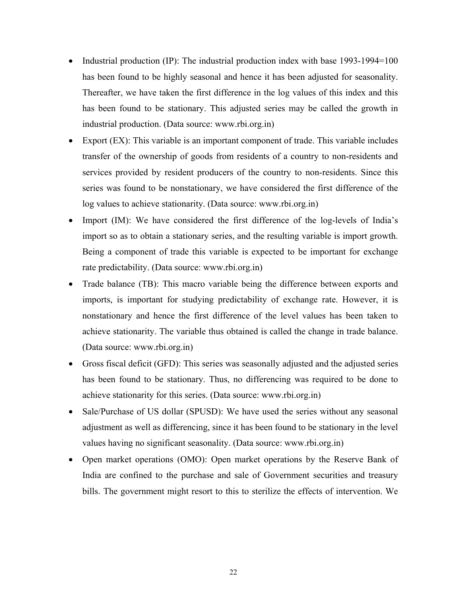- Industrial production (IP): The industrial production index with base 1993-1994=100 has been found to be highly seasonal and hence it has been adjusted for seasonality. Thereafter, we have taken the first difference in the log values of this index and this has been found to be stationary. This adjusted series may be called the growth in industrial production. (Data source: www.rbi.org.in)
- Export (EX): This variable is an important component of trade. This variable includes transfer of the ownership of goods from residents of a country to non-residents and services provided by resident producers of the country to non-residents. Since this series was found to be nonstationary, we have considered the first difference of the log values to achieve stationarity. (Data source: www.rbi.org.in)
- Import (IM): We have considered the first difference of the log-levels of India's import so as to obtain a stationary series, and the resulting variable is import growth. Being a component of trade this variable is expected to be important for exchange rate predictability. (Data source: www.rbi.org.in)
- Trade balance (TB): This macro variable being the difference between exports and imports, is important for studying predictability of exchange rate. However, it is nonstationary and hence the first difference of the level values has been taken to achieve stationarity. The variable thus obtained is called the change in trade balance. (Data source: www.rbi.org.in)
- Gross fiscal deficit (GFD): This series was seasonally adjusted and the adjusted series has been found to be stationary. Thus, no differencing was required to be done to achieve stationarity for this series. (Data source: www.rbi.org.in)
- Sale/Purchase of US dollar (SPUSD): We have used the series without any seasonal adjustment as well as differencing, since it has been found to be stationary in the level values having no significant seasonality. (Data source: www.rbi.org.in)
- Open market operations (OMO): Open market operations by the Reserve Bank of India are confined to the purchase and sale of Government securities and treasury bills. The government might resort to this to sterilize the effects of intervention. We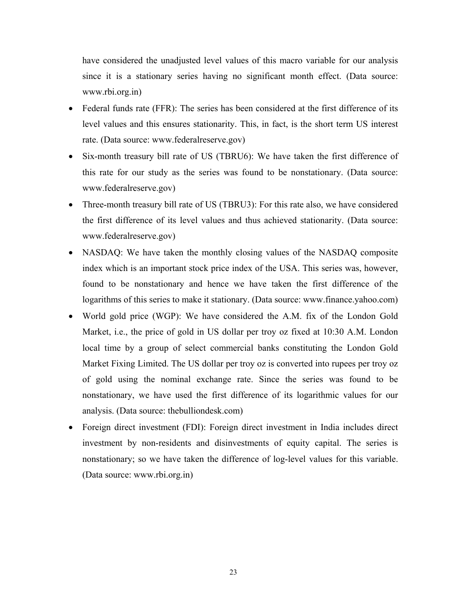have considered the unadjusted level values of this macro variable for our analysis since it is a stationary series having no significant month effect. (Data source: www.rbi.org.in)

- Federal funds rate (FFR): The series has been considered at the first difference of its level values and this ensures stationarity. This, in fact, is the short term US interest rate. (Data source: www.federalreserve.gov)
- Six-month treasury bill rate of US (TBRU6): We have taken the first difference of this rate for our study as the series was found to be nonstationary. (Data source: www.federalreserve.gov)
- Three-month treasury bill rate of US (TBRU3): For this rate also, we have considered the first difference of its level values and thus achieved stationarity. (Data source: www.federalreserve.gov)
- NASDAQ: We have taken the monthly closing values of the NASDAQ composite index which is an important stock price index of the USA. This series was, however, found to be nonstationary and hence we have taken the first difference of the logarithms of this series to make it stationary. (Data source: www.finance.yahoo.com)
- World gold price (WGP): We have considered the A.M. fix of the London Gold Market, i.e., the price of gold in US dollar per troy oz fixed at 10:30 A.M. London local time by a group of select commercial banks constituting the London Gold Market Fixing Limited. The US dollar per troy oz is converted into rupees per troy oz of gold using the nominal exchange rate. Since the series was found to be nonstationary, we have used the first difference of its logarithmic values for our analysis. (Data source: thebulliondesk.com)
- Foreign direct investment (FDI): Foreign direct investment in India includes direct investment by non-residents and disinvestments of equity capital. The series is nonstationary; so we have taken the difference of log-level values for this variable. (Data source: www.rbi.org.in)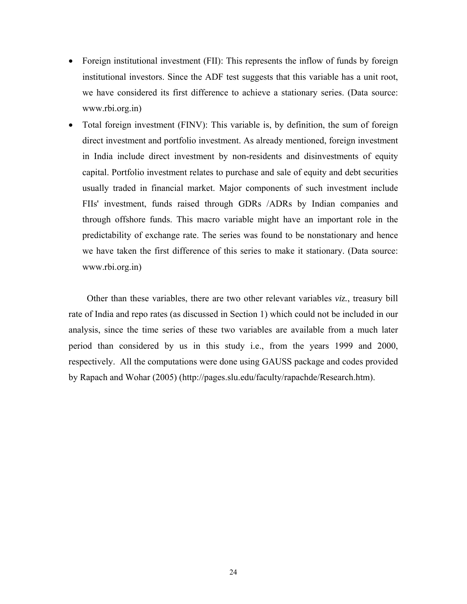- Foreign institutional investment (FII): This represents the inflow of funds by foreign institutional investors. Since the ADF test suggests that this variable has a unit root, we have considered its first difference to achieve a stationary series. (Data source: www.rbi.org.in)
- Total foreign investment (FINV): This variable is, by definition, the sum of foreign direct investment and portfolio investment. As already mentioned, foreign investment in India include direct investment by non-residents and disinvestments of equity capital. Portfolio investment relates to purchase and sale of equity and debt securities usually traded in financial market. Major components of such investment include FIIs' investment, funds raised through GDRs /ADRs by Indian companies and through offshore funds. This macro variable might have an important role in the predictability of exchange rate. The series was found to be nonstationary and hence we have taken the first difference of this series to make it stationary. (Data source: www.rbi.org.in)

 Other than these variables, there are two other relevant variables *viz.*, treasury bill rate of India and repo rates (as discussed in Section 1) which could not be included in our analysis, since the time series of these two variables are available from a much later period than considered by us in this study i.e., from the years 1999 and 2000, respectively. All the computations were done using GAUSS package and codes provided by Rapach and Wohar (2005) (http://pages.slu.edu/faculty/rapachde/Research.htm).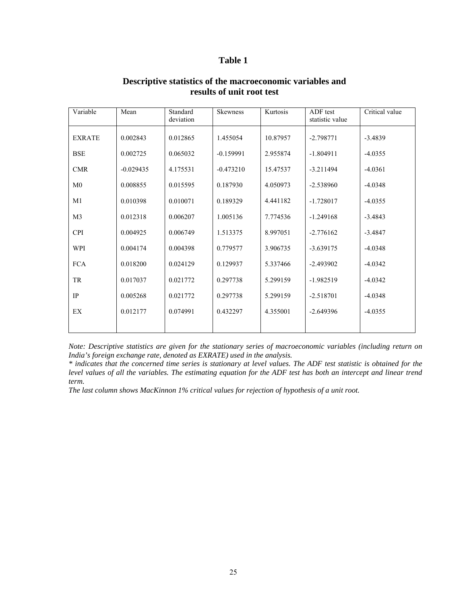#### **Table 1**

| Variable       | Mean        | Standard<br>deviation | <b>Skewness</b> | Kurtosis | ADF test<br>statistic value | Critical value |
|----------------|-------------|-----------------------|-----------------|----------|-----------------------------|----------------|
| <b>EXRATE</b>  | 0.002843    | 0.012865              | 1.455054        | 10.87957 | $-2.798771$                 | $-3.4839$      |
| <b>BSE</b>     | 0.002725    | 0.065032              | $-0.159991$     | 2.955874 | $-1.804911$                 | $-4.0355$      |
| <b>CMR</b>     | $-0.029435$ | 4.175531              | $-0.473210$     | 15.47537 | $-3.211494$                 | $-4.0361$      |
| M <sub>0</sub> | 0.008855    | 0.015595              | 0.187930        | 4.050973 | $-2.538960$                 | $-4.0348$      |
| M1             | 0.010398    | 0.010071              | 0.189329        | 4.441182 | $-1.728017$                 | $-4.0355$      |
| M <sub>3</sub> | 0.012318    | 0.006207              | 1.005136        | 7.774536 | $-1.249168$                 | $-3.4843$      |
| <b>CPI</b>     | 0.004925    | 0.006749              | 1.513375        | 8.997051 | $-2.776162$                 | $-3.4847$      |
| WPI            | 0.004174    | 0.004398              | 0.779577        | 3.906735 | $-3.639175$                 | $-4.0348$      |
| <b>FCA</b>     | 0.018200    | 0.024129              | 0.129937        | 5.337466 | $-2.493902$                 | $-4.0342$      |
| TR             | 0.017037    | 0.021772              | 0.297738        | 5.299159 | $-1.982519$                 | $-4.0342$      |
| IP             | 0.005268    | 0.021772              | 0.297738        | 5.299159 | $-2.518701$                 | $-4.0348$      |
| EX             | 0.012177    | 0.074991              | 0.432297        | 4.355001 | $-2.649396$                 | $-4.0355$      |
|                |             |                       |                 |          |                             |                |

#### **Descriptive statistics of the macroeconomic variables and results of unit root test**

*Note: Descriptive statistics are given for the stationary series of macroeconomic variables (including return on India's foreign exchange rate, denoted as EXRATE) used in the analysis.* 

*\* indicates that the concerned time series is stationary at level values. The ADF test statistic is obtained for the level values of all the variables. The estimating equation for the ADF test has both an intercept and linear trend term.* 

*The last column shows MacKinnon 1% critical values for rejection of hypothesis of a unit root.*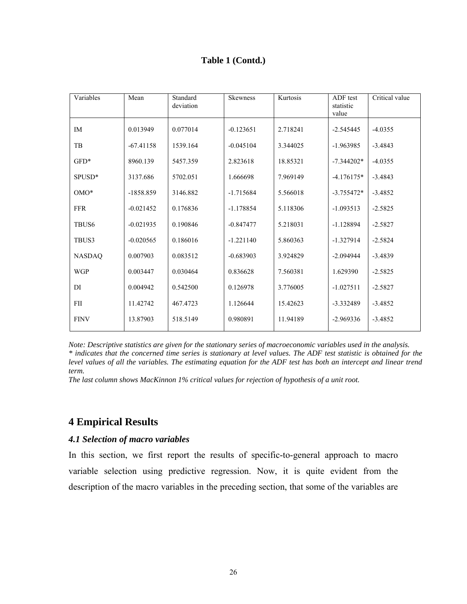### **Table 1 (Contd.)**

| Variables          | Mean        | Standard<br>deviation | <b>Skewness</b> | Kurtosis | ADF test<br>statistic<br>value | Critical value |
|--------------------|-------------|-----------------------|-----------------|----------|--------------------------------|----------------|
| IM                 | 0.013949    | 0.077014              | $-0.123651$     | 2.718241 | $-2.545445$                    | $-4.0355$      |
| TB                 | $-67.41158$ | 1539.164              | $-0.045104$     | 3.344025 | $-1.963985$                    | $-3.4843$      |
| $GFD*$             | 8960.139    | 5457.359              | 2.823618        | 18.85321 | $-7.344202*$                   | $-4.0355$      |
| SPUSD <sup>*</sup> | 3137.686    | 5702.051              | 1.666698        | 7.969149 | $-4.176175*$                   | $-3.4843$      |
| $OMO*$             | $-1858.859$ | 3146.882              | $-1.715684$     | 5.566018 | $-3.755472*$                   | $-3.4852$      |
| <b>FFR</b>         | $-0.021452$ | 0.176836              | $-1.178854$     | 5.118306 | $-1.093513$                    | $-2.5825$      |
| TBUS <sub>6</sub>  | $-0.021935$ | 0.190846              | $-0.847477$     | 5.218031 | $-1.128894$                    | $-2.5827$      |
| TBUS3              | $-0.020565$ | 0.186016              | $-1.221140$     | 5.860363 | $-1.327914$                    | $-2.5824$      |
| <b>NASDAQ</b>      | 0.007903    | 0.083512              | $-0.683903$     | 3.924829 | $-2.094944$                    | $-3.4839$      |
| <b>WGP</b>         | 0.003447    | 0.030464              | 0.836628        | 7.560381 | 1.629390                       | $-2.5825$      |
| DI                 | 0.004942    | 0.542500              | 0.126978        | 3.776005 | $-1.027511$                    | $-2.5827$      |
| FII                | 11.42742    | 467.4723              | 1.126644        | 15.42623 | -3.332489                      | $-3.4852$      |
| <b>FINV</b>        | 13.87903    | 518.5149              | 0.980891        | 11.94189 | $-2.969336$                    | $-3.4852$      |

*Note: Descriptive statistics are given for the stationary series of macroeconomic variables used in the analysis. \* indicates that the concerned time series is stationary at level values. The ADF test statistic is obtained for the level values of all the variables. The estimating equation for the ADF test has both an intercept and linear trend term.* 

*The last column shows MacKinnon 1% critical values for rejection of hypothesis of a unit root.*

# **4 Empirical Results**

#### *4.1 Selection of macro variables*

In this section, we first report the results of specific-to-general approach to macro variable selection using predictive regression. Now, it is quite evident from the description of the macro variables in the preceding section, that some of the variables are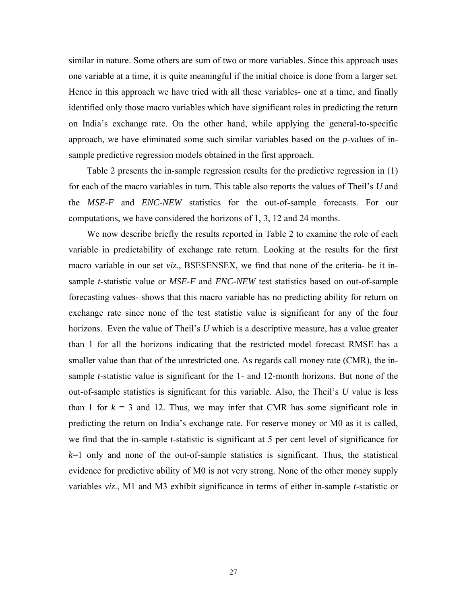similar in nature. Some others are sum of two or more variables. Since this approach uses one variable at a time, it is quite meaningful if the initial choice is done from a larger set. Hence in this approach we have tried with all these variables- one at a time, and finally identified only those macro variables which have significant roles in predicting the return on India's exchange rate. On the other hand, while applying the general-to-specific approach, we have eliminated some such similar variables based on the *p*-values of insample predictive regression models obtained in the first approach.

 Table 2 presents the in-sample regression results for the predictive regression in (1) for each of the macro variables in turn. This table also reports the values of Theil's *U* and the *MSE-F* and *ENC-NEW* statistics for the out-of-sample forecasts. For our computations, we have considered the horizons of 1, 3, 12 and 24 months.

 We now describe briefly the results reported in Table 2 to examine the role of each variable in predictability of exchange rate return. Looking at the results for the first macro variable in our set *viz*., BSESENSEX, we find that none of the criteria- be it insample *t*-statistic value or *MSE-F* and *ENC-NEW* test statistics based on out-of-sample forecasting values- shows that this macro variable has no predicting ability for return on exchange rate since none of the test statistic value is significant for any of the four horizons. Even the value of Theil's *U* which is a descriptive measure, has a value greater than 1 for all the horizons indicating that the restricted model forecast RMSE has a smaller value than that of the unrestricted one. As regards call money rate (CMR), the insample *t*-statistic value is significant for the 1- and 12-month horizons. But none of the out-of-sample statistics is significant for this variable. Also, the Theil's *U* value is less than 1 for  $k = 3$  and 12. Thus, we may infer that CMR has some significant role in predicting the return on India's exchange rate. For reserve money or M0 as it is called, we find that the in-sample *t*-statistic is significant at 5 per cent level of significance for  $k=1$  only and none of the out-of-sample statistics is significant. Thus, the statistical evidence for predictive ability of M0 is not very strong. None of the other money supply variables *viz*., M1 and M3 exhibit significance in terms of either in-sample *t*-statistic or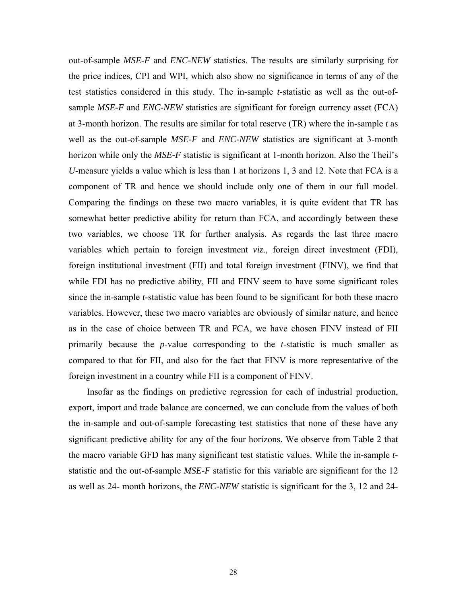out-of-sample *MSE*-*F* and *ENC-NEW* statistics. The results are similarly surprising for the price indices, CPI and WPI, which also show no significance in terms of any of the test statistics considered in this study. The in-sample *t*-statistic as well as the out-ofsample *MSE-F* and *ENC-NEW* statistics are significant for foreign currency asset (FCA) at 3-month horizon. The results are similar for total reserve (TR) where the in-sample *t* as well as the out-of-sample *MSE-F* and *ENC-NEW* statistics are significant at 3-month horizon while only the *MSE-F* statistic is significant at 1-month horizon. Also the Theil's *U*-measure yields a value which is less than 1 at horizons 1, 3 and 12. Note that FCA is a component of TR and hence we should include only one of them in our full model. Comparing the findings on these two macro variables, it is quite evident that TR has somewhat better predictive ability for return than FCA, and accordingly between these two variables, we choose TR for further analysis. As regards the last three macro variables which pertain to foreign investment *viz*., foreign direct investment (FDI), foreign institutional investment (FII) and total foreign investment (FINV), we find that while FDI has no predictive ability, FII and FINV seem to have some significant roles since the in-sample *t*-statistic value has been found to be significant for both these macro variables. However, these two macro variables are obviously of similar nature, and hence as in the case of choice between TR and FCA, we have chosen FINV instead of FII primarily because the *p*-value corresponding to the *t*-statistic is much smaller as compared to that for FII, and also for the fact that FINV is more representative of the foreign investment in a country while FII is a component of FINV.

 Insofar as the findings on predictive regression for each of industrial production, export, import and trade balance are concerned, we can conclude from the values of both the in-sample and out-of-sample forecasting test statistics that none of these have any significant predictive ability for any of the four horizons. We observe from Table 2 that the macro variable GFD has many significant test statistic values. While the in-sample *t*statistic and the out-of-sample *MSE-F* statistic for this variable are significant for the 12 as well as 24- month horizons, the *ENC-NEW* statistic is significant for the 3, 12 and 24-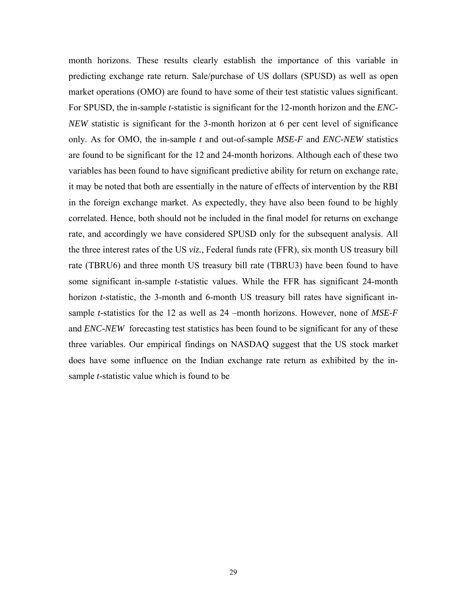month horizons. These results clearly establish the importance of this variable in predicting exchange rate return. Sale/purchase of US dollars (SPUSD) as well as open market operations (OMO) are found to have some of their test statistic values significant. For SPUSD, the in-sample *t*-statistic is significant for the 12-month horizon and the *ENC-NEW* statistic is significant for the 3-month horizon at 6 per cent level of significance only. As for OMO, the in-sample *t* and out-of-sample *MSE-F* and *ENC-NEW* statistics are found to be significant for the 12 and 24-month horizons. Although each of these two variables has been found to have significant predictive ability for return on exchange rate, it may be noted that both are essentially in the nature of effects of intervention by the RBI in the foreign exchange market. As expectedly, they have also been found to be highly correlated. Hence, both should not be included in the final model for returns on exchange rate, and accordingly we have considered SPUSD only for the subsequent analysis. All the three interest rates of the US *viz.*, Federal funds rate (FFR), six month US treasury bill rate (TBRU6) and three month US treasury bill rate (TBRU3) have been found to have some significant in-sample *t*-statistic values. While the FFR has significant 24-month horizon *t*-statistic, the 3-month and 6-month US treasury bill rates have significant insample *t*-statistics for the 12 as well as 24 –month horizons. However, none of *MSE-F*  and *ENC-NEW* forecasting test statistics has been found to be significant for any of these three variables. Our empirical findings on NASDAQ suggest that the US stock market does have some influence on the Indian exchange rate return as exhibited by the insample *t*-statistic value which is found to be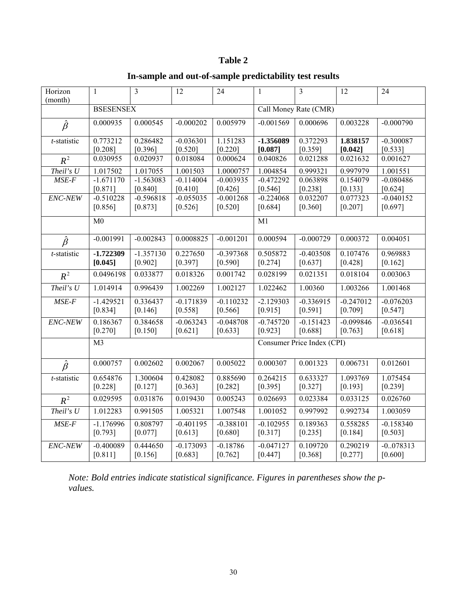# **Table 2**

# **In-sample and out-of-sample predictability test results**

| Horizon<br>(month)  | $\mathbf{1}$           | $\overline{3}$         | 12                       | 24                       | $\mathbf{1}$           | $\overline{3}$             | 12                     | 24                       |
|---------------------|------------------------|------------------------|--------------------------|--------------------------|------------------------|----------------------------|------------------------|--------------------------|
|                     | <b>BSESENSEX</b>       |                        |                          |                          | Call Money Rate (CMR)  |                            |                        |                          |
| $\hat{\beta}$       | 0.000935               | 0.000545               | $-0.000202$              | 0.005979                 | $-0.001569$            | 0.000696                   | 0.003228               | $-0.000790$              |
| t-statistic         | 0.773212<br>[0.208]    | 0.286482<br>[0.396]    | $-0.036301$<br>[0.520]   | 1.151283<br>$[0.220]$    | -1.356089<br>[0.087]   | 0.372293<br>[0.359]        | 1.838157<br>[0.042]    | $-0.300087$<br>[0.533]   |
| $R^2$               | 0.030955               | 0.020937               | 0.018084                 | 0.000624                 | 0.040826               | 0.021288                   | 0.021632               | 0.001627                 |
| Theil's U           | 1.017502               | 1.017055               | 1.001503                 | 1.0000757                | 1.004854               | 0.999321                   | 0.997979               | 1.001551                 |
| $MSE-F$             | $-1.671170$<br>[0.871] | $-1.563083$<br>[0.840] | $-0.114004$<br>[0.410]   | $-0.003935$<br>[0.426]   | $-0.472292$<br>[0.546] | 0.063898<br>[0.238]        | 0.154079<br>[0.133]    | $-0.080486$<br>[0.624]   |
| ENC-NEW             | $-0.510228$<br>[0.856] | $-0.596818$<br>[0.873] | $-0.055035$<br>[0.526]   | $-0.001268$<br>[0.520]   | $-0.224068$<br>[0.684] | 0.032207<br>[0.360]        | 0.077323<br>$[0.207]$  | $-0.040152$<br>[0.697]   |
|                     | M <sub>0</sub>         |                        |                          |                          | M1                     |                            |                        |                          |
| $\hat{\beta}$       | $-0.001991$            | $-0.002843$            | 0.0008825                | $-0.001201$              | 0.000594               | $-0.000729$                | 0.000372               | 0.004051                 |
| $t$ -statistic      | $-1.722309$<br>[0.045] | $-1.357130$<br>[0.902] | 0.227650<br>[0.397]      | $-0.397368$<br>$[0.590]$ | 0.505872<br>$[0.274]$  | $-0.403508$<br>[0.637]     | 0.107476<br>[0.428]    | 0.969883<br>[0.162]      |
| $R^2$               | 0.0496198              | 0.033877               | 0.018326                 | 0.001742                 | 0.028199               | 0.021351                   | 0.018104               | 0.003063                 |
| Theil's U           | 1.014914               | 0.996439               | 1.002269                 | 1.002127                 | 1.022462               | 1.00360                    | 1.003266               | 1.001468                 |
| $MSE-F$             | $-1.429521$<br>[0.834] | 0.336437<br>[0.146]    | $-0.171839$<br>$[0.558]$ | $-0.110232$<br>[0.566]   | $-2.129303$<br>[0.915] | $-0.336915$<br>[0.591]     | $-0.247012$<br>[0.709] | $-0.076203$<br>$[0.547]$ |
| ENC-NEW             | 0.186367<br>$[0.270]$  | 0.384658<br>[0.150]    | $-0.063243$<br>[0.621]   | $-0.048708$<br>[0.633]   | $-0.745720$<br>[0.923] | $-0.151423$<br>[0.688]     | $-0.099846$<br>[0.763] | $-0.036541$<br>[0.618]   |
|                     | M <sub>3</sub>         |                        |                          |                          |                        | Consumer Price Index (CPI) |                        |                          |
| $\bar{\hat{\beta}}$ | 0.000757               | 0.002602               | 0.002067                 | 0.005022                 | 0.000307               | 0.001323                   | 0.006731               | 0.012601                 |
| t-statistic         | 0.654876<br>[0.228]    | 1.300604<br>[0.127]    | 0.428082<br>[0.363]      | 0.885690<br>$[0.282]$    | 0.264215<br>[0.395]    | 0.633327<br>[0.327]        | 1.093769<br>[0.193]    | 1.075454<br>$[0.239]$    |
| $R^2$               | 0.029595               | 0.031876               | 0.019430                 | 0.005243                 | 0.026693               | 0.023384                   | 0.033125               | 0.026760                 |
| Theil's $U$         | 1.012283               | 0.991505               | 1.005321                 | 1.007548                 | 1.001052               | 0.997992                   | 0.992734               | 1.003059                 |
| $MSE-F$             | $-1.176996$<br>[0.793] | 0.808797<br>[0.077]    | $-0.401195$<br>[0.613]   | $-0.388101$<br>[0.680]   | $-0.102955$<br>[0.317] | 0.189363<br>[0.235]        | 0.558285<br>[0.184]    | $-0.158340$<br>[0.503]   |
| ENC-NEW             | $-0.400089$<br>[0.811] | 0.444650<br>[0.156]    | $-0.173093$<br>[0.683]   | $-0.18786$<br>[0.762]    | $-0.047127$<br>[0.447] | 0.109720<br>[0.368]        | 0.290219<br>[0.277]    | $-0.078313$<br>[0.600]   |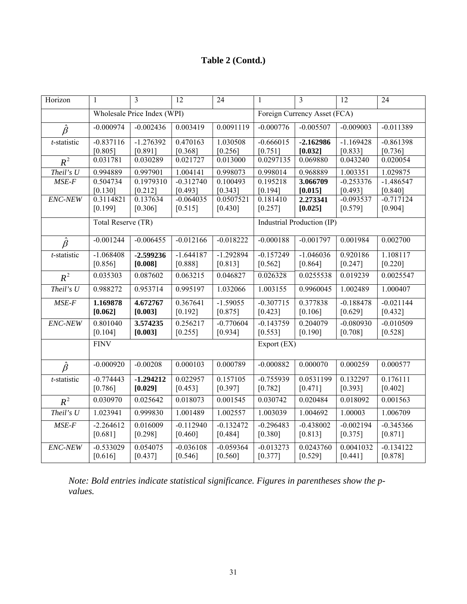# **Table 2 (Contd.)**

| Horizon       | $\mathbf{1}$           | $\overline{3}$              | $\overline{12}$        | $\overline{24}$        | $\mathbf{1}$                 | $\overline{3}$         | $\overline{12}$        | $\overline{24}$        |
|---------------|------------------------|-----------------------------|------------------------|------------------------|------------------------------|------------------------|------------------------|------------------------|
|               |                        | Wholesale Price Index (WPI) |                        |                        | Foreign Currency Asset (FCA) |                        |                        |                        |
| $\hat{\beta}$ | $-0.000974$            | $-0.002436$                 | 0.003419               | 0.0091119              | $-0.000776$                  | $-0.005507$            | $-0.009003$            | $-0.011389$            |
| t-statistic   | $-0.837116$<br>[0.805] | $-1.276392$<br>[0.891]      | 0.470163<br>[0.368]    | 1.030508<br>[0.256]    | $-0.666015$<br>[0.751]       | $-2.162986$<br>[0.032] | $-1.169428$<br>[0.833] | $-0.861398$<br>[0.736] |
| $R^2$         | 0.031781               | 0.030289                    | 0.021727               | 0.013000               | 0.0297135                    | 0.069880               | 0.043240               | 0.020054               |
| Theil's U     | 0.994889               | 0.997901                    | 1.004141               | 0.998073               | 0.998014                     | 0.968889               | 1.003351               | 1.029875               |
| $MSE-F$       | 0.504734               | 0.1979310                   | $-0.312740$            | 0.100493               | 0.195218                     | 3.066709               | $-0.253376$            | $-1.486547$            |
|               | [0.130]                | [0.212]                     | [0.493]                | [0.343]                | [0.194]                      | [0.015]                | [0.493]                | [0.840]                |
| ENC-NEW       | 0.3114821              | 0.137634                    | $-0.064035$            | 0.0507521              | 0.181410                     | 2.273341               | $-0.093537$            | $-0.717124$            |
|               | [0.199]                | [0.306]                     | [0.515]                | [0.430]                | [0.257]                      | [0.025]                | [0.579]                | [0.904]                |
|               | Total Reserve (TR)     |                             |                        |                        | Industrial Production (IP)   |                        |                        |                        |
| $\hat{\beta}$ | $-0.001244$            | $-0.006455$                 | $-0.012166$            | $-0.018222$            | $-0.000188$                  | $-0.001797$            | 0.001984               | 0.002700               |
| t-statistic   | $-1.068408$            | $-2.599236$                 | $-1.644187$            | $-1.292894$            | $-0.157249$                  | $-1.046036$            | 0.920186               | 1.108117               |
|               | [0.856]                | [0.008]                     | [0.888]                | [0.813]                | [0.562]                      | [0.864]                | [0.247]                | [0.220]                |
| $R^2$         | 0.035303               | 0.087602                    | 0.063215               | 0.046827               | 0.026328                     | 0.0255538              | 0.019239               | 0.0025547              |
| Theil's $U$   | 0.988272               | 0.953714                    | 0.995197               | 1.032066               | 1.003155                     | 0.9960045              | 1.002489               | 1.000407               |
| $MSE-F$       | 1.169878               | 4.672767                    | 0.367641               | $-1.59055$             | $-0.307715$                  | 0.377838               | $-0.188478$            | $-0.021144$            |
|               | [0.062]                | [0.003]                     | $[0.192]$              | [0.875]                | [0.423]                      | [0.106]                | [0.629]                | [0.432]                |
| ENC-NEW       | 0.801040               | 3.574235                    | 0.256217               | $-0.770604$            | $-0.143759$                  | 0.204079               | $-0.080930$            | $-0.010509$            |
|               | [0.104]                | [0.003]                     | [0.255]                | [0.934]                | [0.553]                      | [0.190]                | [0.708]                | [0.528]                |
|               | <b>FINV</b>            |                             |                        |                        | Export (EX)                  |                        |                        |                        |
| $\hat{\beta}$ | $-0.000920$            | $-0.00208$                  | 0.000103               | 0.000789               | $-0.000882$                  | 0.000070               | 0.000259               | 0.000577               |
| t-statistic   | $-0.774443$<br>[0.786] | $-1.294212$<br>[0.029]      | 0.022957<br>$[0.453]$  | 0.157105<br>[0.397]    | $-0.755939$<br>$[0.782]$     | 0.0531199<br>$[0.471]$ | 0.132297<br>[0.393]    | 0.176111<br>$[0.402]$  |
| $R^2$         | 0.030970               | 0.025642                    | 0.018073               | 0.001545               | 0.030742                     | 0.020484               | 0.018092               | 0.001563               |
| Theil's $U$   | 1.023941               | 0.999830                    | 1.001489               | 1.002557               | 1.003039                     | 1.004692               | 1.00003                | 1.006709               |
| $MSE-F$       | $-2.264612$<br>[0.681] | 0.016009<br>[0.298]         | $-0.112940$<br>[0.460] | $-0.132472$<br>[0.484] | $-0.296483$<br>[0.380]       | $-0.438002$<br>[0.813] | $-0.002194$<br>[0.375] | $-0.345366$<br>[0.871] |
| ENC-NEW       | $-0.533029$<br>[0.616] | 0.054075<br>[0.437]         | $-0.036108$<br>[0.546] | $-0.059364$<br>[0.560] | $-0.013273$<br>[0.377]       | 0.0243760<br>[0.529]   | 0.0041032<br>[0.441]   | $-0.134122$<br>[0.878] |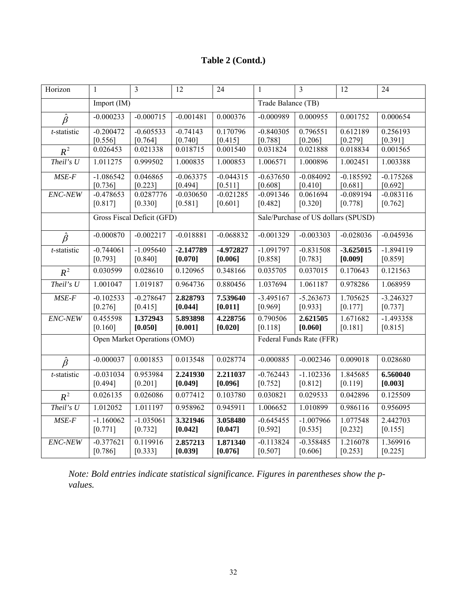# **Table 2 (Contd.)**

| Horizon        | $\mathbf{1}$                 | $\overline{\mathbf{3}}$  | 12                     | 24                     | $\mathbf{1}$             | $\overline{\mathbf{3}}$             | 12                     | 24                     |
|----------------|------------------------------|--------------------------|------------------------|------------------------|--------------------------|-------------------------------------|------------------------|------------------------|
|                | Import (IM)                  |                          |                        |                        | Trade Balance (TB)       |                                     |                        |                        |
| $\hat{\beta}$  | $-0.000233$                  | $-0.000715$              | $-0.001481$            | 0.000376               | $-0.000989$              | 0.000955                            | 0.001752               | 0.000654               |
| $t$ -statistic | $-0.200472$<br>[0.556]       | $-0.605533$<br>[0.764]   | $-0.74143$<br>[0.740]  | 0.170796<br>[0.415]    | $-0.840305$<br>[0.788]   | 0.796551<br>[0.206]                 | 0.612189<br>[0.279]    | 0.256193<br>[0.391]    |
| $R^2$          | 0.026453                     | 0.021338                 | 0.018715               | 0.001540               | 0.031824                 | 0.021888                            | 0.018834               | 0.001565               |
| Theil's $U$    | 1.011275                     | 0.999502                 | 1.000835               | 1.000853               | 1.006571                 | 1.000896                            | 1.002451               | 1.003388               |
| $MSE-F$        | $-1.086542$<br>[0.736]       | 0.046865<br>[0.223]      | $-0.063375$<br>[0.494] | $-0.044315$<br>[0.511] | $-0.637650$<br>[0.608]   | $-0.084092$<br>[0.410]              | $-0.185592$<br>[0.681] | $-0.175268$<br>[0.692] |
| ENC-NEW        | $-0.478653$<br>[0.817]       | 0.0287776<br>[0.330]     | $-0.030650$<br>[0.581] | $-0.021285$<br>[0.601] | $-0.091346$<br>[0.482]   | 0.061694<br>[0.320]                 | $-0.089194$<br>[0.778] | $-0.083116$<br>[0.762] |
|                | Gross Fiscal Deficit (GFD)   |                          |                        |                        |                          | Sale/Purchase of US dollars (SPUSD) |                        |                        |
| $\hat{\beta}$  | $-0.000870$                  | $-0.002217$              | $-0.018881$            | $-0.068832$            | $-0.001329$              | $-0.003303$                         | $-0.028036$            | $-0.045936$            |
| $t$ -statistic | $-0.744061$<br>[0.793]       | $-1.095640$<br>$[0.840]$ | $-2.147789$<br>[0.070] | -4.972827<br>[0.006]   | $-1.091797$<br>[0.858]   | $-0.831508$<br>$[0.783]$            | $-3.625015$<br>[0.009] | $-1.894119$<br>[0.859] |
| $R^2$          | 0.030599                     | 0.028610                 | 0.120965               | 0.348166               | 0.035705                 | 0.037015                            | 0.170643               | 0.121563               |
| Theil's $U$    | 1.001047                     | 1.019187                 | 0.964736               | 0.880456               | 1.037694                 | 1.061187                            | 0.978286               | 1.068959               |
| $MSE-F$        | $-0.102533$<br>$[0.276]$     | $-0.278647$<br>[0.415]   | 2.828793<br>[0.044]    | 7.539640<br>[0.011]    | $-3.495167$<br>[0.969]   | $-5.263673$<br>[0.933]              | 1.705625<br>[0.177]    | $-3.246327$<br>[0.737] |
| ENC-NEW        | 0.455598<br>[0.160]          | 1.372943<br>[0.050]      | 5.893898<br>[0.001]    | 4.228756<br>[0.020]    | 0.790506<br>[0.118]      | 2.621505<br>[0.060]                 | 1.671682<br>[0.181]    | $-1.493358$<br>[0.815] |
|                | Open Market Operations (OMO) |                          |                        |                        | Federal Funds Rate (FFR) |                                     |                        |                        |
| $\hat{\beta}$  | $-0.000037$                  | 0.001853                 | 0.013548               | 0.028774               | $-0.000885$              | $-0.002346$                         | 0.009018               | 0.028680               |
| t-statistic    | $-0.031034$<br>[0.494]       | 0.953984<br>[0.201]      | 2.241930<br>[0.049]    | 2.211037<br>[0.096]    | $-0.762443$<br>[0.752]   | $-1.102336$<br>[0.812]              | 1.845685<br>[0.119]    | 6.560040<br>[0.003]    |
| $R^2$          | 0.026135                     | 0.026086                 | 0.077412               | 0.103780               | 0.030821                 | 0.029533                            | 0.042896               | 0.125509               |
| Theil's $U$    | 1.012052                     | 1.011197                 | 0.958962               | 0.945911               | 1.006652                 | 1.010899                            | 0.986116               | 0.956095               |
| $MSE-F$        | $-1.160062$<br>$[0.771]$     | $-1.035061$<br>$[0.732]$ | 3.321946<br>[0.042]    | 3.058480<br>[0.047]    | $-0.645455$<br>[0.592]   | $-1.007966$<br>[0.535]              | 1.077548<br>$[0.232]$  | 2.442703<br>[0.155]    |
| ENC-NEW        | $-0.377621$<br>[0.786]       | 0.119916<br>[0.333]      | 2.857213<br>[0.039]    | 1.871340<br>[0.076]    | $-0.113824$<br>[0.507]   | $-0.358485$<br>[0.606]              | 1.216078<br>$[0.253]$  | 1.369916<br>$[0.225]$  |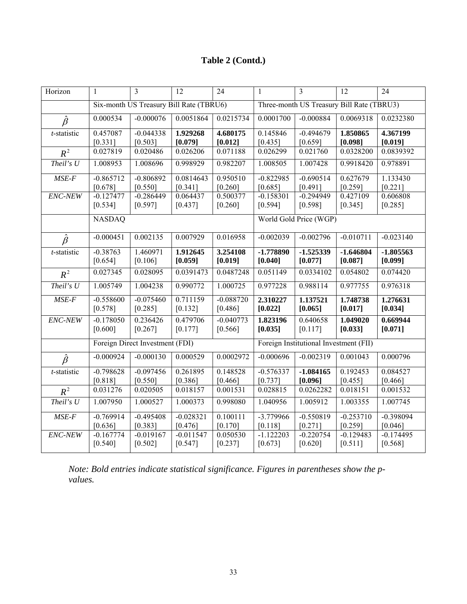# **Table 2 (Contd.)**

| Horizon       | 1                        | $\overline{3}$                          | 12                       | $\overline{24}$          | $\mathbf{1}$                           | $\overline{\mathbf{3}}$                   | $\overline{12}$          | $\overline{24}$        |
|---------------|--------------------------|-----------------------------------------|--------------------------|--------------------------|----------------------------------------|-------------------------------------------|--------------------------|------------------------|
|               |                          | Six-month US Treasury Bill Rate (TBRU6) |                          |                          |                                        | Three-month US Treasury Bill Rate (TBRU3) |                          |                        |
| $\hat{\beta}$ | 0.000534                 | $-0.000076$                             | 0.0051864                | 0.0215734                | 0.0001700                              | $-0.000884$                               | 0.0069318                | 0.0232380              |
| t-statistic   | 0.457087<br>[0.331]      | $-0.044338$<br>[0.503]                  | 1.929268<br>[0.079]      | 4.680175<br>[0.012]      | 0.145846<br>[0.435]                    | $-0.494679$<br>[0.659]                    | 1.850865<br>[0.098]      | 4.367199<br>[0.019]    |
| $R^2$         | 0.027819                 | 0.020486                                | 0.026206                 | 0.071188                 | 0.026299                               | 0.021760                                  | 0.0328200                | 0.0839392              |
| Theil's U     | 1.008953                 | 1.008696                                | 0.998929                 | 0.982207                 | 1.008505                               | 1.007428                                  | 0.9918420                | 0.978891               |
| $MSE-F$       | $-0.865712$<br>[0.678]   | $-0.806892$<br>[0.550]                  | 0.0814643<br>[0.341]     | 0.950510<br>[0.260]      | $-0.822985$<br>[0.685]                 | $-0.690514$<br>[0.491]                    | 0.627679<br>[0.259]      | 1.133430<br>[0.221]    |
| ENC-NEW       | $-0.127477$<br>$[0.534]$ | $-0.286449$<br>[0.597]                  | 0.064437<br>[0.437]      | 0.500377<br>[0.260]      | $-0.158301$<br>[0.594]                 | $-0.294949$<br>[0.598]                    | 0.427109<br>[0.345]      | 0.606808<br>$[0.285]$  |
|               | <b>NASDAQ</b>            |                                         |                          |                          |                                        | World Gold Price (WGP)                    |                          |                        |
| $\hat{\beta}$ | $-0.000451$              | 0.002135                                | 0.007929                 | 0.016958                 | $-0.002039$                            | $-0.002796$                               | $-0.010711$              | $-0.023140$            |
| t-statistic   | $-0.38763$<br>$[0.654]$  | 1.460971<br>[0.106]                     | 1.912645<br>[0.059]      | 3.254108<br>[0.019]      | $-1.778890$<br>[0.040]                 | $-1.525339$<br>[0.077]                    | $-1.646804$<br>[0.087]   | $-1.805563$<br>[0.099] |
| $R^2$         | 0.027345                 | 0.028095                                | 0.0391473                | 0.0487248                | 0.051149                               | 0.0334102                                 | 0.054802                 | 0.074420               |
| Theil's $U$   | 1.005749                 | 1.004238                                | 0.990772                 | 1.000725                 | 0.977228                               | 0.988114                                  | 0.977755                 | 0.976318               |
| $MSE-F$       | $-0.558600$<br>$[0.578]$ | $-0.075460$<br>[0.285]                  | 0.711159<br>$[0.132]$    | $-0.088720$<br>$[0.486]$ | 2.310227<br>[0.022]                    | 1.137521<br>[0.065]                       | 1.748738<br>[0.017]      | 1.276631<br>[0.034]    |
| ENC-NEW       | $-0.178050$<br>[0.600]   | 0.236426<br>[0.267]                     | 0.479706<br>[0.177]      | $-0.040773$<br>[0.566]   | 1.823196<br>[0.035]                    | 0.640658<br>[0.117]                       | 1.049020<br>[0.033]      | 0.669944<br>[0.071]    |
|               |                          | Foreign Direct Investment (FDI)         |                          |                          | Foreign Institutional Investment (FII) |                                           |                          |                        |
| $\hat{\beta}$ | $-0.000924$              | $-0.000130$                             | 0.000529                 | 0.0002972                | $-0.000696$                            | $-0.002319$                               | 0.001043                 | 0.000796               |
| t-statistic   | $-0.798628$<br>[0.818]   | $-0.097456$<br>[0.550]                  | 0.261895<br>[0.386]      | 0.148528<br>[0.466]      | $-0.576337$<br>[0.737]                 | $-1.084165$<br>[0.096]                    | 0.192453<br>[0.455]      | 0.084527<br>[0.466]    |
| $R^2$         | 0.031276                 | 0.020505                                | 0.018157                 | 0.001531                 | 0.028815                               | 0.0262282                                 | 0.018151                 | 0.001532               |
| Theil's $U$   | 1.007950                 | 1.000527                                | 1.000373                 | 0.998080                 | 1.040956                               | 1.005912                                  | 1.003355                 | 1.007745               |
| $MSE-F$       | $-0.769914$<br>[0.636]   | $-0.495408$<br>[0.383]                  | $-0.028321$<br>[0.476]   | 0.100111<br>[0.170]      | -3.779966<br>[0.118]                   | $-0.550819$<br>[0.271]                    | $-0.253710$<br>[0.259]   | $-0.398094$<br>[0.046] |
| ENC-NEW       | $-0.167774$<br>[0.540]   | $-0.019167$<br>$[0.502]$                | $-0.011547$<br>$[0.547]$ | 0.050530<br>$[0.237]$    | $-1.122203$<br>$[0.673]$               | $-0.220754$<br>[0.620]                    | $-0.129483$<br>$[0.511]$ | $-0.174495$<br>[0.568] |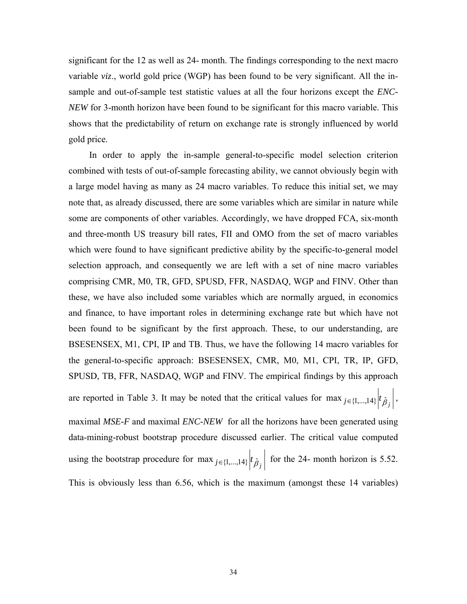significant for the 12 as well as 24- month. The findings corresponding to the next macro variable *viz*., world gold price (WGP) has been found to be very significant. All the insample and out-of-sample test statistic values at all the four horizons except the *ENC-NEW* for 3-month horizon have been found to be significant for this macro variable. This shows that the predictability of return on exchange rate is strongly influenced by world gold price.

 In order to apply the in-sample general-to-specific model selection criterion combined with tests of out-of-sample forecasting ability, we cannot obviously begin with a large model having as many as 24 macro variables. To reduce this initial set, we may note that, as already discussed, there are some variables which are similar in nature while some are components of other variables. Accordingly, we have dropped FCA, six-month and three-month US treasury bill rates, FII and OMO from the set of macro variables which were found to have significant predictive ability by the specific-to-general model selection approach, and consequently we are left with a set of nine macro variables comprising CMR, M0, TR, GFD, SPUSD, FFR, NASDAQ, WGP and FINV. Other than these, we have also included some variables which are normally argued, in economics and finance, to have important roles in determining exchange rate but which have not been found to be significant by the first approach. These, to our understanding, are BSESENSEX, M1, CPI, IP and TB. Thus, we have the following 14 macro variables for the general-to-specific approach: BSESENSEX, CMR, M0, M1, CPI, TR, IP, GFD, SPUSD, TB, FFR, NASDAQ, WGP and FINV. The empirical findings by this approach are reported in Table 3. It may be noted that the critical values for  $\max_{j \in \{1,...,14\}} |t_{\hat{\beta}_j}|$ , maximal *MSE-F* and maximal *ENC-NEW* for all the horizons have been generated using data-mining-robust bootstrap procedure discussed earlier. The critical value computed using the bootstrap procedure for  $\max_{j \in \{1,...,14\}} |t_{\hat{\beta}_j}|$  for the 24- month horizon is 5.52. This is obviously less than 6.56, which is the maximum (amongst these 14 variables)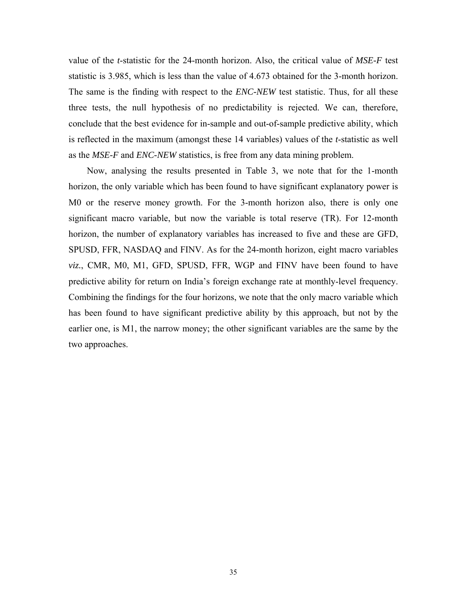value of the *t*-statistic for the 24-month horizon. Also, the critical value of *MSE-F* test statistic is 3.985, which is less than the value of 4.673 obtained for the 3-month horizon. The same is the finding with respect to the *ENC-NEW* test statistic. Thus, for all these three tests, the null hypothesis of no predictability is rejected. We can, therefore, conclude that the best evidence for in-sample and out-of-sample predictive ability, which is reflected in the maximum (amongst these 14 variables) values of the *t*-statistic as well as the *MSE-F* and *ENC-NEW* statistics, is free from any data mining problem.

Now, analysing the results presented in Table 3, we note that for the 1-month horizon, the only variable which has been found to have significant explanatory power is M0 or the reserve money growth. For the 3-month horizon also, there is only one significant macro variable, but now the variable is total reserve (TR). For 12-month horizon, the number of explanatory variables has increased to five and these are GFD, SPUSD, FFR, NASDAQ and FINV. As for the 24-month horizon, eight macro variables *viz.*, CMR, M0, M1, GFD, SPUSD, FFR, WGP and FINV have been found to have predictive ability for return on India's foreign exchange rate at monthly-level frequency. Combining the findings for the four horizons, we note that the only macro variable which has been found to have significant predictive ability by this approach, but not by the earlier one, is M1, the narrow money; the other significant variables are the same by the two approaches.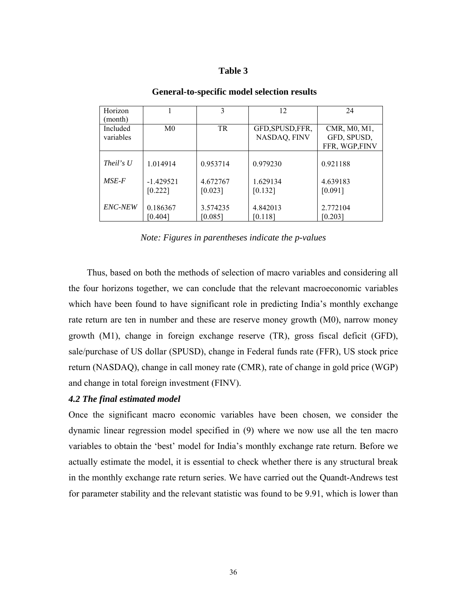#### **Table 3**

| Horizon<br>(month)    |                        | 3                   | 12                               | 24                                            |
|-----------------------|------------------------|---------------------|----------------------------------|-----------------------------------------------|
| Included<br>variables | M <sub>0</sub>         | <b>TR</b>           | GFD, SPUSD, FFR,<br>NASDAQ, FINV | CMR, M0, M1,<br>GFD, SPUSD,<br>FFR, WGP, FINV |
| <i>Theil's U</i>      | 1.014914               | 0.953714            | 0.979230                         | 0.921188                                      |
| $MSE-F$               | $-1.429521$<br>[0.222] | 4.672767<br>[0.023] | 1.629134<br>[0.132]              | 4.639183<br>[0.091]                           |
| <b>ENC-NEW</b>        | 0.186367<br>[0.404]    | 3.574235<br>[0.085] | 4.842013<br>[0.118]              | 2.772104<br>[0.203]                           |

#### **General-to-specific model selection results**

*Note: Figures in parentheses indicate the p-values* 

 Thus, based on both the methods of selection of macro variables and considering all the four horizons together, we can conclude that the relevant macroeconomic variables which have been found to have significant role in predicting India's monthly exchange rate return are ten in number and these are reserve money growth (M0), narrow money growth (M1), change in foreign exchange reserve (TR), gross fiscal deficit (GFD), sale/purchase of US dollar (SPUSD), change in Federal funds rate (FFR), US stock price return (NASDAQ), change in call money rate (CMR), rate of change in gold price (WGP) and change in total foreign investment (FINV).

#### *4.2 The final estimated model*

Once the significant macro economic variables have been chosen, we consider the dynamic linear regression model specified in (9) where we now use all the ten macro variables to obtain the 'best' model for India's monthly exchange rate return. Before we actually estimate the model, it is essential to check whether there is any structural break in the monthly exchange rate return series. We have carried out the Quandt-Andrews test for parameter stability and the relevant statistic was found to be 9.91, which is lower than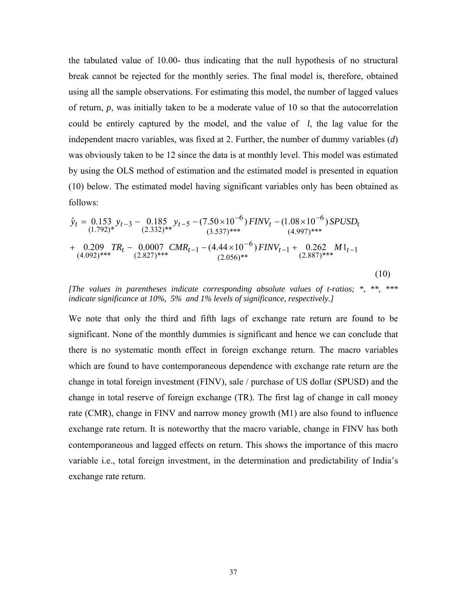the tabulated value of 10.00- thus indicating that the null hypothesis of no structural break cannot be rejected for the monthly series. The final model is, therefore, obtained using all the sample observations. For estimating this model, the number of lagged values of return, *p*, was initially taken to be a moderate value of 10 so that the autocorrelation could be entirely captured by the model, and the value of *l*, the lag value for the independent macro variables, was fixed at 2. Further, the number of dummy variables (*d*) was obviously taken to be 12 since the data is at monthly level. This model was estimated by using the OLS method of estimation and the estimated model is presented in equation (10) below. The estimated model having significant variables only has been obtained as follows:

$$
\hat{y}_t = 0.153 y_{t-3} - 0.185 y_{t-5} - (7.50 \times 10^{-6}) FINV_t - (1.08 \times 10^{-6}) SPUSD_t \n+ 0.209 TR_t - 0.0007 CMR_{t-1} - (4.44 \times 10^{-6}) FINV_{t-1} + 0.262 M1_{t-1} \n+ (4.092)*** (2.827)*** (2.827)*** (2.056)**
$$
\n(10)

*[The values in parentheses indicate corresponding absolute values of t-ratios; \*, \*\*, \*\*\* indicate significance at 10%, 5% and 1% levels of significance, respectively.]*

We note that only the third and fifth lags of exchange rate return are found to be significant. None of the monthly dummies is significant and hence we can conclude that there is no systematic month effect in foreign exchange return. The macro variables which are found to have contemporaneous dependence with exchange rate return are the change in total foreign investment (FINV), sale / purchase of US dollar (SPUSD) and the change in total reserve of foreign exchange (TR). The first lag of change in call money rate (CMR), change in FINV and narrow money growth (M1) are also found to influence exchange rate return. It is noteworthy that the macro variable, change in FINV has both contemporaneous and lagged effects on return. This shows the importance of this macro variable i.e., total foreign investment, in the determination and predictability of India's exchange rate return.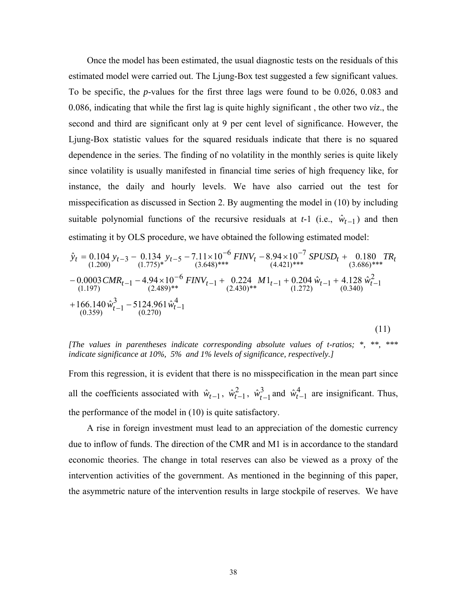Once the model has been estimated, the usual diagnostic tests on the residuals of this estimated model were carried out. The Ljung-Box test suggested a few significant values. To be specific, the *p*-values for the first three lags were found to be 0.026, 0.083 and 0.086, indicating that while the first lag is quite highly significant , the other two *viz*., the second and third are significant only at 9 per cent level of significance. However, the Ljung-Box statistic values for the squared residuals indicate that there is no squared dependence in the series. The finding of no volatility in the monthly series is quite likely since volatility is usually manifested in financial time series of high frequency like, for instance, the daily and hourly levels. We have also carried out the test for misspecification as discussed in Section 2. By augmenting the model in (10) by including suitable polynomial functions of the recursive residuals at  $t-1$  (i.e.,  $\hat{w}_{t-1}$ ) and then estimating it by OLS procedure, we have obtained the following estimated model:

$$
\hat{y}_t = 0.104 y_{t-3} - 0.134 y_{t-5} - 7.11 \times 10^{-6} \text{ FINV}_t - 8.94 \times 10^{-7} \text{ SPUSD}_t + 0.180 \text{ TR}_t \n- (1.200) (1.775)* (3.648)*** (4.421)*** (4.421)*** (3.686)*** \n- 0.0003 \text{CMR}_{t-1} - 4.94 \times 10^{-6} \text{ FINV}_{t-1} + 0.224 \text{ M} 1_{t-1} + 0.204 \hat{w}_{t-1} + 4.128 \hat{w}_{t-1}^2 \n- (1.197) (2.489)** (2.489)**(2.430)**(2.430)**(2.430)**(2.430)**(2.430)**(2.430)**(2.430)**(2.430)**(2.430)**(2.430)**(2.430)**(2.430)**(2.430)**(2.430)**(2.430)**(2.430)**(2.430)**(2.430)**(2.430)**(2.430)**(2.430)**(2.430)**(2.430)**(2.430)**(2.430)**(2.430)**(2.430)**(2.430)**(2.430)**(2.430)**(2.430)**(2.430)**(2.430)**(2.430)**(2.430)**(2.430)**(2.430)**(2.430)**(2.430)**(2.430)**(2.430)**(2.430)**(2.430)**(2.430)**(2.430)**(2.430)**(2.430)**(2.430)**(2.430)**(2.430)**(2.430)**(2.430)**(2.430)**(2.430)**(2.430)**(2.430)**(2.430)**(2.430)**(2.430)**(2.430)**(2.430)**(2.430)**(2.430)**(2.430)**(2.430)**(2.430)**(2.430)**(2.430)**(2.430)**(2.430)**(2.43
$$

*[The values in parentheses indicate corresponding absolute values of t-ratios; \*, \*\*, \*\*\* indicate significance at 10%, 5% and 1% levels of significance, respectively.]*

From this regression, it is evident that there is no misspecification in the mean part since all the coefficients associated with  $\hat{w}_{t-1}$ ,  $\hat{w}_{t-1}^2$ ,  $\hat{w}_{t-1}^3$  and  $\hat{w}_{t-1}^4$  are insignificant. Thus, the performance of the model in (10) is quite satisfactory.

 A rise in foreign investment must lead to an appreciation of the domestic currency due to inflow of funds. The direction of the CMR and M1 is in accordance to the standard economic theories. The change in total reserves can also be viewed as a proxy of the intervention activities of the government. As mentioned in the beginning of this paper, the asymmetric nature of the intervention results in large stockpile of reserves. We have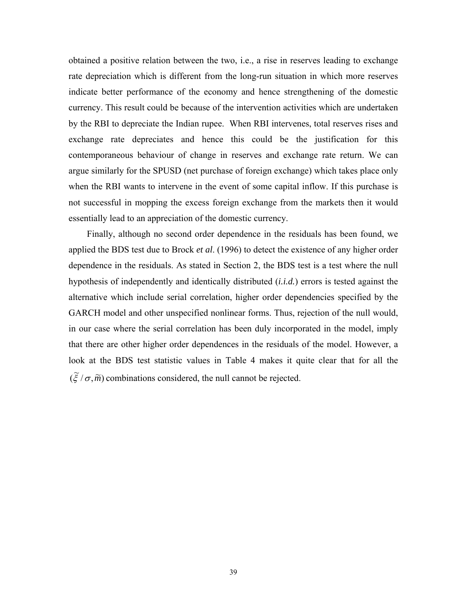obtained a positive relation between the two, i.e., a rise in reserves leading to exchange rate depreciation which is different from the long-run situation in which more reserves indicate better performance of the economy and hence strengthening of the domestic currency. This result could be because of the intervention activities which are undertaken by the RBI to depreciate the Indian rupee. When RBI intervenes, total reserves rises and exchange rate depreciates and hence this could be the justification for this contemporaneous behaviour of change in reserves and exchange rate return. We can argue similarly for the SPUSD (net purchase of foreign exchange) which takes place only when the RBI wants to intervene in the event of some capital inflow. If this purchase is not successful in mopping the excess foreign exchange from the markets then it would essentially lead to an appreciation of the domestic currency.

 Finally, although no second order dependence in the residuals has been found, we applied the BDS test due to Brock *et al*. (1996) to detect the existence of any higher order dependence in the residuals. As stated in Section 2, the BDS test is a test where the null hypothesis of independently and identically distributed (*i.i.d.*) errors is tested against the alternative which include serial correlation, higher order dependencies specified by the GARCH model and other unspecified nonlinear forms. Thus, rejection of the null would, in our case where the serial correlation has been duly incorporated in the model, imply that there are other higher order dependences in the residuals of the model. However, a look at the BDS test statistic values in Table 4 makes it quite clear that for all the  $(\tilde{\xi}/\sigma, \tilde{m})$  combinations considered, the null cannot be rejected.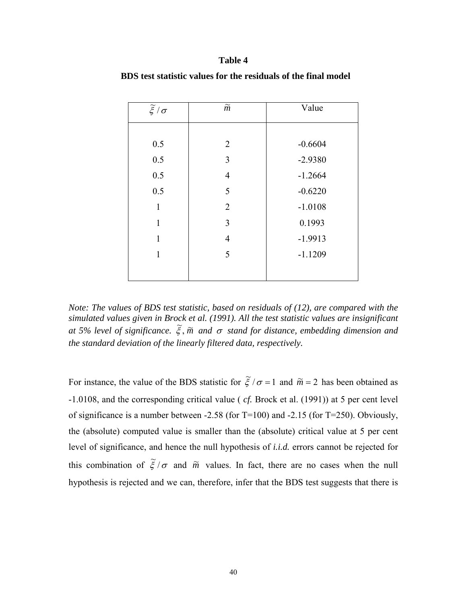#### **Table 4**

| $\widetilde{\xi}/\sigma$ | $\widetilde{m}$ | Value     |
|--------------------------|-----------------|-----------|
|                          |                 |           |
| 0.5                      | $\overline{2}$  | $-0.6604$ |
| 0.5                      | 3               | $-2.9380$ |
| 0.5                      | $\overline{4}$  | $-1.2664$ |
| 0.5                      | 5               | $-0.6220$ |
| $\mathbf{1}$             | $\overline{2}$  | $-1.0108$ |
| $\mathbf{1}$             | 3               | 0.1993    |
| $\mathbf{1}$             | 4               | $-1.9913$ |
| $\mathbf{1}$             | 5               | $-1.1209$ |
|                          |                 |           |

 **BDS test statistic values for the residuals of the final model** 

*Note: The values of BDS test statistic, based on residuals of (12), are compared with the simulated values given in Brock et al. (1991). All the test statistic values are insignificant and formulation and all the matter of the contract of the standing function and all the matging count of significance.*  $\tilde{\xi}$ ,  $\tilde{m}$  and  $\sigma$  stand for distance, embedding dimension and *the standard deviation of the linearly filtered data, respectively.* 

For instance, the value of the BDS statistic for  $\tilde{\xi}/\sigma = 1$  and  $\tilde{m} = 2$  has been obtained as -1.0108, and the corresponding critical value ( *cf.* Brock et al. (1991)) at 5 per cent level of significance is a number between  $-2.58$  (for T=100) and  $-2.15$  (for T=250). Obviously, the (absolute) computed value is smaller than the (absolute) critical value at 5 per cent level of significance, and hence the null hypothesis of *i.i.d.* errors cannot be rejected for this combination of  $\tilde{\xi}/\sigma$  and  $\tilde{m}$  values. In fact, there are no cases when the null hypothesis is rejected and we can, therefore, infer that the BDS test suggests that there is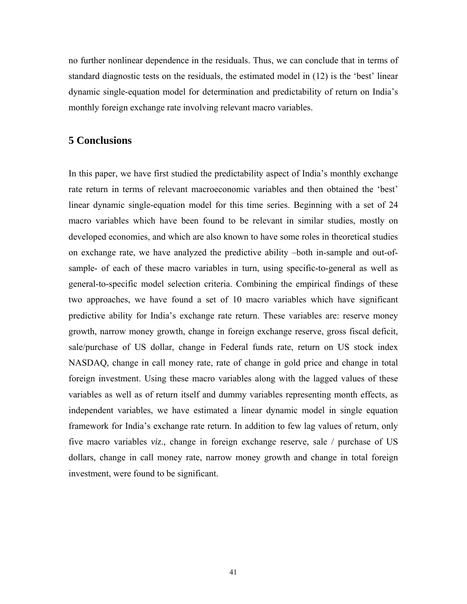no further nonlinear dependence in the residuals. Thus, we can conclude that in terms of standard diagnostic tests on the residuals, the estimated model in (12) is the 'best' linear dynamic single-equation model for determination and predictability of return on India's monthly foreign exchange rate involving relevant macro variables.

### **5 Conclusions**

In this paper, we have first studied the predictability aspect of India's monthly exchange rate return in terms of relevant macroeconomic variables and then obtained the 'best' linear dynamic single-equation model for this time series. Beginning with a set of 24 macro variables which have been found to be relevant in similar studies, mostly on developed economies, and which are also known to have some roles in theoretical studies on exchange rate, we have analyzed the predictive ability –both in-sample and out-ofsample- of each of these macro variables in turn, using specific-to-general as well as general-to-specific model selection criteria. Combining the empirical findings of these two approaches, we have found a set of 10 macro variables which have significant predictive ability for India's exchange rate return. These variables are: reserve money growth, narrow money growth, change in foreign exchange reserve, gross fiscal deficit, sale/purchase of US dollar, change in Federal funds rate, return on US stock index NASDAQ, change in call money rate, rate of change in gold price and change in total foreign investment. Using these macro variables along with the lagged values of these variables as well as of return itself and dummy variables representing month effects, as independent variables, we have estimated a linear dynamic model in single equation framework for India's exchange rate return. In addition to few lag values of return, only five macro variables *viz*., change in foreign exchange reserve, sale / purchase of US dollars, change in call money rate, narrow money growth and change in total foreign investment, were found to be significant.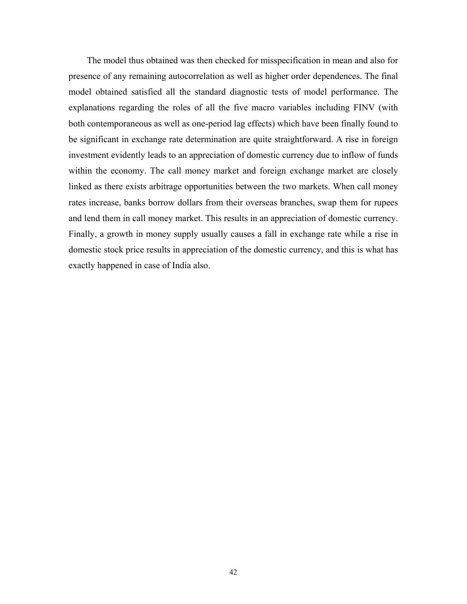The model thus obtained was then checked for misspecification in mean and also for presence of any remaining autocorrelation as well as higher order dependences. The final model obtained satisfied all the standard diagnostic tests of model performance. The explanations regarding the roles of all the five macro variables including FINV (with both contemporaneous as well as one-period lag effects) which have been finally found to be significant in exchange rate determination are quite straightforward. A rise in foreign investment evidently leads to an appreciation of domestic currency due to inflow of funds within the economy. The call money market and foreign exchange market are closely linked as there exists arbitrage opportunities between the two markets. When call money rates increase, banks borrow dollars from their overseas branches, swap them for rupees and lend them in call money market. This results in an appreciation of domestic currency. Finally, a growth in money supply usually causes a fall in exchange rate while a rise in domestic stock price results in appreciation of the domestic currency, and this is what has exactly happened in case of India also.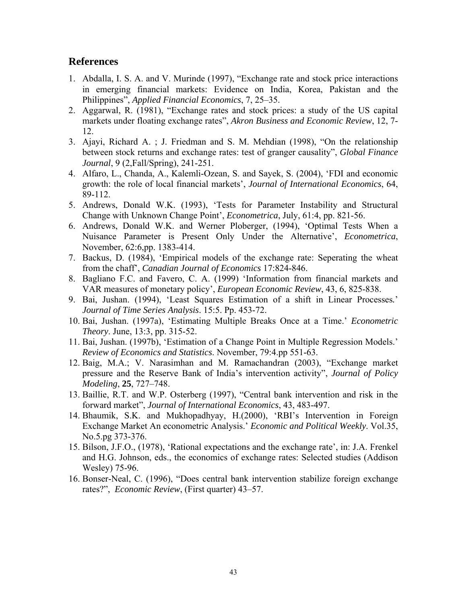# **References**

- 1. Abdalla, I. S. A. and V. Murinde (1997), "Exchange rate and stock price interactions in emerging financial markets: Evidence on India, Korea, Pakistan and the Philippines", *Applied Financial Economics*, 7, 25–35.
- 2. Aggarwal, R. (1981), "Exchange rates and stock prices: a study of the US capital markets under floating exchange rates", *Akron Business and Economic Review*, 12, 7- 12.
- 3. Ajayi, Richard A. ; J. Friedman and S. M. Mehdian (1998), "On the relationship between stock returns and exchange rates: test of granger causality", *Global Finance Journal*, 9 (2,Fall/Spring), 241-251.
- 4. Alfaro, L., Chanda, A., Kalemli-Ozean, S. and Sayek, S. (2004), 'FDI and economic growth: the role of local financial markets', *Journal of International Economics*, 64, 89-112.
- 5. Andrews, Donald W.K. (1993), 'Tests for Parameter Instability and Structural Change with Unknown Change Point', *Econometrica*, July, 61:4, pp. 821-56.
- 6. Andrews, Donald W.K. and Werner Ploberger, (1994), 'Optimal Tests When a Nuisance Parameter is Present Only Under the Alternative', *Econometrica*, November, 62:6,pp. 1383-414.
- 7. Backus, D. (1984), 'Empirical models of the exchange rate: Seperating the wheat from the chaff', *Canadian Journal of Economics* 17:824-846.
- 8. Bagliano F.C. and Favero, C. A. (1999) 'Information from financial markets and VAR measures of monetary policy', *European Economic Review*, 43, 6, 825-838.
- 9. Bai, Jushan. (1994), 'Least Squares Estimation of a shift in Linear Processes*.*' *Journal of Time Series Analysis*. 15:5. Pp. 453-72.
- 10. Bai, Jushan. (1997a), 'Estimating Multiple Breaks Once at a Time.' *Econometric Theory*. June, 13:3, pp. 315-52.
- 11. Bai, Jushan. (1997b), 'Estimation of a Change Point in Multiple Regression Models.' *Review of Economics and Statistics*. November, 79:4.pp 551-63.
- 12. Baig, M.A.; V. Narasimhan and M. Ramachandran (2003), "Exchange market pressure and the Reserve Bank of India's intervention activity", *Journal of Policy Modeling*, **25**, 727–748.
- 13. Baillie, R.T. and W.P. Osterberg (1997), "Central bank intervention and risk in the forward market", *Journal of International Economics*, 43, 483-497.
- 14. Bhaumik, S.K. and Mukhopadhyay, H.(2000), 'RBI's Intervention in Foreign Exchange Market An econometric Analysis.' *Economic and Political Weekly*. Vol.35, No.5.pg 373-376.
- 15. Bilson, J.F.O., (1978), 'Rational expectations and the exchange rate', in: J.A. Frenkel and H.G. Johnson, eds., the economics of exchange rates: Selected studies (Addison Wesley) 75-96.
- 16. Bonser-Neal, C. (1996), "Does central bank intervention stabilize foreign exchange rates?", *Economic Review*, (First quarter) 43–57.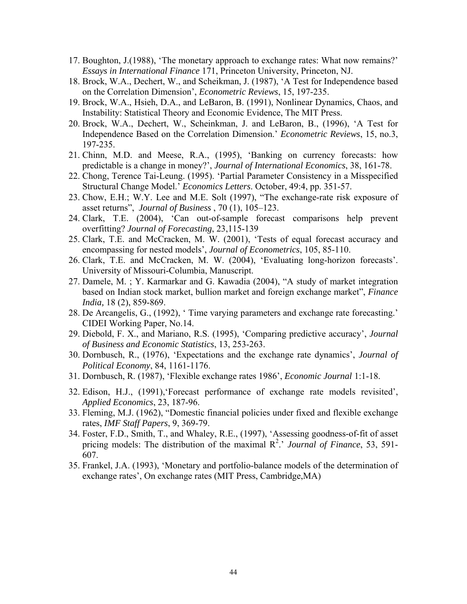- 17. Boughton, J.(1988), 'The monetary approach to exchange rates: What now remains?' *Essays in International Finance* 171, Princeton University, Princeton, NJ.
- 18. Brock, W.A., Dechert, W., and Scheikman, J. (1987), 'A Test for Independence based on the Correlation Dimension', *Econometric Reviews*, 15, 197-235.
- 19. Brock, W.A., Hsieh, D.A., and LeBaron, B. (1991), Nonlinear Dynamics, Chaos, and Instability: Statistical Theory and Economic Evidence, The MIT Press.
- 20. Brock, W.A., Dechert, W., Scheinkman, J. and LeBaron, B., (1996), 'A Test for Independence Based on the Correlation Dimension.' *Econometric Reviews*, 15, no.3, 197-235.
- 21. Chinn, M.D. and Meese, R.A., (1995), 'Banking on currency forecasts: how predictable is a change in money?', *Journal of International Economics*, 38, 161-78.
- 22. Chong, Terence Tai-Leung. (1995). 'Partial Parameter Consistency in a Misspecified Structural Change Model.' *Economics Letters*. October, 49:4, pp. 351-57.
- 23. Chow, E.H.; W.Y. Lee and M.E. Solt (1997), "The exchange-rate risk exposure of asset returns", *Journal of Business* , 70 (1), 105–123.
- 24. Clark, T.E. (2004), 'Can out-of-sample forecast comparisons help prevent overfitting? *Journal of Forecasting*, 23,115-139
- 25. Clark, T.E. and McCracken, M. W. (2001), 'Tests of equal forecast accuracy and encompassing for nested models', *Journal of Econometrics*, 105, 85-110.
- 26. Clark, T.E. and McCracken, M. W. (2004), 'Evaluating long-horizon forecasts'. University of Missouri-Columbia, Manuscript.
- 27. Damele, M. ; Y. Karmarkar and G. Kawadia (2004), "A study of market integration based on Indian stock market, bullion market and foreign exchange market", *Finance India,* 18 (2), 859-869.
- 28. De Arcangelis, G., (1992), ' Time varying parameters and exchange rate forecasting.' CIDEI Working Paper, No.14.
- 29. Diebold, F. X., and Mariano, R.S. (1995), 'Comparing predictive accuracy', *Journal of Business and Economic Statistics*, 13, 253-263.
- 30. Dornbusch, R., (1976), 'Expectations and the exchange rate dynamics', *Journal of Political Economy*, 84, 1161-1176.
- 31. Dornbusch, R. (1987), 'Flexible exchange rates 1986', *Economic Journal* 1:1-18.
- 32. Edison, H.J., (1991),'Forecast performance of exchange rate models revisited', *Applied Economics*, 23, 187-96.
- 33. Fleming, M.J. (1962), "Domestic financial policies under fixed and flexible exchange rates, *IMF Staff Papers*, 9, 369-79.
- 34. Foster, F.D., Smith, T., and Whaley, R.E., (1997), 'Assessing goodness-of-fit of asset pricing models: The distribution of the maximal R<sup>2</sup>.' *Journal of Finance*, 53, 591-607.
- 35. Frankel, J.A. (1993), 'Monetary and portfolio-balance models of the determination of exchange rates', On exchange rates (MIT Press, Cambridge,MA)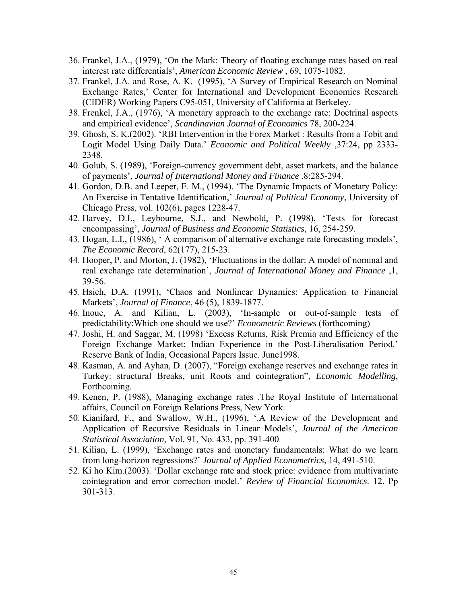- 36. Frankel, J.A., (1979), 'On the Mark: Theory of floating exchange rates based on real interest rate differentials', *American Economic Review* , 69, 1075-1082.
- 37. Frankel, J.A. and Rose, A. K. (1995), 'A Survey of Empirical Research on Nominal Exchange Rates,' Center for International and Development Economics Research (CIDER) Working Papers C95-051, University of California at Berkeley.
- 38. Frenkel, J.A., (1976), 'A monetary approach to the exchange rate: Doctrinal aspects and empirical evidence', *Scandinavian Journal of Economics* 78, 200-224.
- 39. Ghosh, S. K.(2002). 'RBI Intervention in the Forex Market : Results from a Tobit and Logit Model Using Daily Data.' *Economic and Political Weekly* ,37:24, pp 2333- 2348.
- 40. Golub, S. (1989), 'Foreign-currency government debt, asset markets, and the balance of payments', *Journal of International Money and Finance* .8:285-294.
- 41. Gordon, D.B. and Leeper, E. M., (1994). 'The Dynamic Impacts of Monetary Policy: An Exercise in Tentative Identification,' *Journal of Political Economy*, University of Chicago Press, vol. 102(6), pages 1228-47.
- 42. Harvey, D.I., Leybourne, S.J., and Newbold, P. (1998), 'Tests for forecast encompassing', *Journal of Business and Economic Statistics*, 16, 254-259.
- 43. Hogan, L.I., (1986), ' A comparison of alternative exchange rate forecasting models', *The Economic Record*, 62(177), 215-23.
- 44. Hooper, P. and Morton, J. (1982), 'Fluctuations in the dollar: A model of nominal and real exchange rate determination', *Journal of International Money and Finance* ,1, 39-56.
- 45. Hsieh, D.A. (1991), 'Chaos and Nonlinear Dynamics: Application to Financial Markets', *Journal of Finance*, 46 (5), 1839-1877.
- 46. Inoue, A. and Kilian, L. (2003), 'In-sample or out-of-sample tests of predictability:Which one should we use?' *Econometric Reviews* (forthcoming)
- 47. Joshi, H. and Saggar, M. (1998) 'Excess Returns, Risk Premia and Efficiency of the Foreign Exchange Market: Indian Experience in the Post-Liberalisation Period.' Reserve Bank of India, Occasional Papers Issue. June1998.
- 48. Kasman, A. and Ayhan, D. (2007), "Foreign exchange reserves and exchange rates in Turkey: structural Breaks, unit Roots and cointegration", *Economic Modelling*, Forthcoming.
- 49. Kenen, P. (1988), Managing exchange rates .The Royal Institute of International affairs, Council on Foreign Relations Press, New York.
- 50. Kianifard, F., and Swallow, W.H., (1996), '.A Review of the Development and Application of Recursive Residuals in Linear Models', *Journal of the American Statistical Association*, Vol. 91, No. 433, pp. 391-400.
- 51. Kilian, L. (1999), 'Exchange rates and monetary fundamentals: What do we learn from long-horizon regressions?' *Journal of Applied Econometrics*, 14, 491-510.
- 52. Ki ho Kim.(2003). 'Dollar exchange rate and stock price: evidence from multivariate cointegration and error correction model.' *Review of Financial Economics*. 12. Pp 301-313.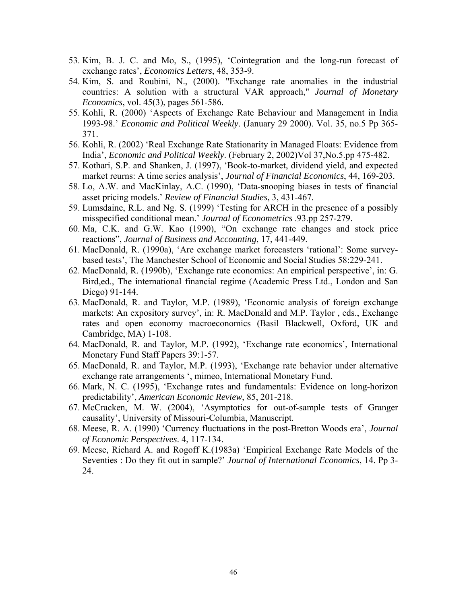- 53. Kim, B. J. C. and Mo, S., (1995), 'Cointegration and the long-run forecast of exchange rates', *Economics Letters*, 48, 353-9.
- 54. Kim, S. and Roubini, N., (2000). "Exchange rate anomalies in the industrial countries: A solution with a structural VAR approach," *Journal of Monetary Economics*, vol. 45(3), pages 561-586.
- 55. Kohli, R. (2000) 'Aspects of Exchange Rate Behaviour and Management in India 1993-98.' *Economic and Political Weekly*. (January 29 2000). Vol. 35, no.5 Pp 365- 371.
- 56. Kohli, R. (2002) 'Real Exchange Rate Stationarity in Managed Floats: Evidence from India', *Economic and Political Weekly*. (February 2, 2002)Vol 37,No.5.pp 475-482.
- 57. Kothari, S.P. and Shanken, J. (1997), 'Book-to-market, dividend yield, and expected market reurns: A time series analysis', *Journal of Financial Economics*, 44, 169-203.
- 58. Lo, A.W. and MacKinlay, A.C. (1990), 'Data-snooping biases in tests of financial asset pricing models.' *Review of Financial Studies*, 3, 431-467.
- 59. Lumsdaine, R.L. and Ng. S. (1999) 'Testing for ARCH in the presence of a possibly misspecified conditional mean.' *Journal of Econometrics* .93.pp 257-279.
- 60. Ma, C.K. and G.W. Kao (1990), "On exchange rate changes and stock price reactions", *Journal of Business and Accounting*, 17, 441-449.
- 61. MacDonald, R. (1990a), 'Are exchange market forecasters 'rational': Some surveybased tests', The Manchester School of Economic and Social Studies 58:229-241.
- 62. MacDonald, R. (1990b), 'Exchange rate economics: An empirical perspective', in: G. Bird,ed., The international financial regime (Academic Press Ltd., London and San Diego) 91-144.
- 63. MacDonald, R. and Taylor, M.P. (1989), 'Economic analysis of foreign exchange markets: An expository survey', in: R. MacDonald and M.P. Taylor , eds., Exchange rates and open economy macroeconomics (Basil Blackwell, Oxford, UK and Cambridge, MA) 1-108.
- 64. MacDonald, R. and Taylor, M.P. (1992), 'Exchange rate economics', International Monetary Fund Staff Papers 39:1-57.
- 65. MacDonald, R. and Taylor, M.P. (1993), 'Exchange rate behavior under alternative exchange rate arrangements ', mimeo, International Monetary Fund.
- 66. Mark, N. C. (1995), 'Exchange rates and fundamentals: Evidence on long-horizon predictability', *American Economic Review*, 85, 201-218.
- 67. McCracken, M. W. (2004), 'Asymptotics for out-of-sample tests of Granger causality', University of Missouri-Columbia, Manuscript.
- 68. Meese, R. A. (1990) 'Currency fluctuations in the post-Bretton Woods era', *Journal of Economic Perspectives*. 4, 117-134.
- 69. Meese, Richard A. and Rogoff K.(1983a) 'Empirical Exchange Rate Models of the Seventies : Do they fit out in sample?' *Journal of International Economics*, 14. Pp 3- 24.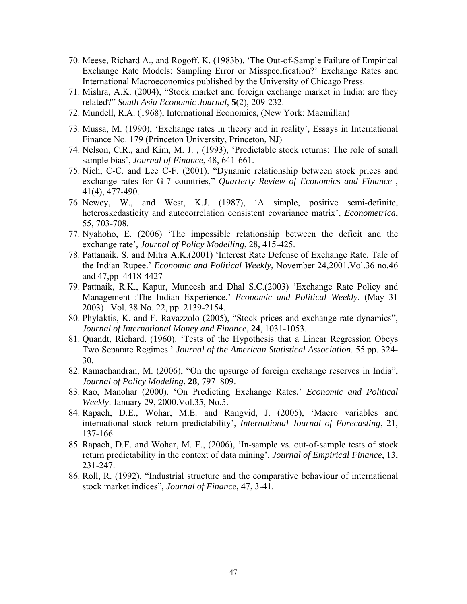- 70. Meese, Richard A., and Rogoff. K. (1983b). 'The Out-of-Sample Failure of Empirical Exchange Rate Models: Sampling Error or Misspecification?' Exchange Rates and International Macroeconomics published by the University of Chicago Press.
- 71. Mishra, A.K. (2004), "Stock market and foreign exchange market in India: are they related?" *South Asia Economic Journal*, **5**(2), 209-232.
- 72. Mundell, R.A. (1968), International Economics, (New York: Macmillan)
- 73. Mussa, M. (1990), 'Exchange rates in theory and in reality', Essays in International Finance No. 179 (Princeton University, Princeton, NJ)
- 74. Nelson, C.R., and Kim, M. J. , (1993), 'Predictable stock returns: The role of small sample bias', *Journal of Finance*, 48, 641-661.
- 75. Nieh, C-C. and Lee C-F. (2001). "Dynamic relationship between stock prices and exchange rates for G-7 countries," *Quarterly Review of Economics and Finance* , 41(4), 477-490.
- 76. Newey, W., and West, K.J. (1987), 'A simple, positive semi-definite, heteroskedasticity and autocorrelation consistent covariance matrix', *Econometrica*, 55, 703-708.
- 77. Nyahoho, E. (2006) 'The impossible relationship between the deficit and the exchange rate', *Journal of Policy Modelling*, 28, 415-425.
- 78. Pattanaik, S. and Mitra A.K.(2001) 'Interest Rate Defense of Exchange Rate, Tale of the Indian Rupee.' *Economic and Political Weekly*, November 24,2001.Vol.36 no.46 and 47,pp 4418-4427
- 79. Pattnaik, R.K., Kapur, Muneesh and Dhal S.C.(2003) 'Exchange Rate Policy and Management :The Indian Experience.' *Economic and Political Weekly*. (May 31 2003) . Vol. 38 No. 22, pp. 2139-2154.
- 80. Phylaktis, K. and F. Ravazzolo (2005), "Stock prices and exchange rate dynamics", *Journal of International Money and Finance*, **24**, 1031-1053.
- 81. Quandt, Richard. (1960). 'Tests of the Hypothesis that a Linear Regression Obeys Two Separate Regimes.' *Journal of the American Statistical Association*. 55.pp. 324- 30.
- 82. Ramachandran, M. (2006), "On the upsurge of foreign exchange reserves in India", *Journal of Policy Modeling*, **28**, 797–809.
- 83. Rao, Manohar (2000). 'On Predicting Exchange Rates*.*' *Economic and Political Weekly*. January 29, 2000.Vol.35, No.5.
- 84. Rapach, D.E., Wohar, M.E. and Rangvid, J. (2005), 'Macro variables and international stock return predictability', *International Journal of Forecasting*, 21, 137-166.
- 85. Rapach, D.E. and Wohar, M. E., (2006), 'In-sample vs. out-of-sample tests of stock return predictability in the context of data mining', *Journal of Empirical Finance*, 13, 231-247.
- 86. Roll, R. (1992), "Industrial structure and the comparative behaviour of international stock market indices", *Journal of Finance*, 47, 3-41.